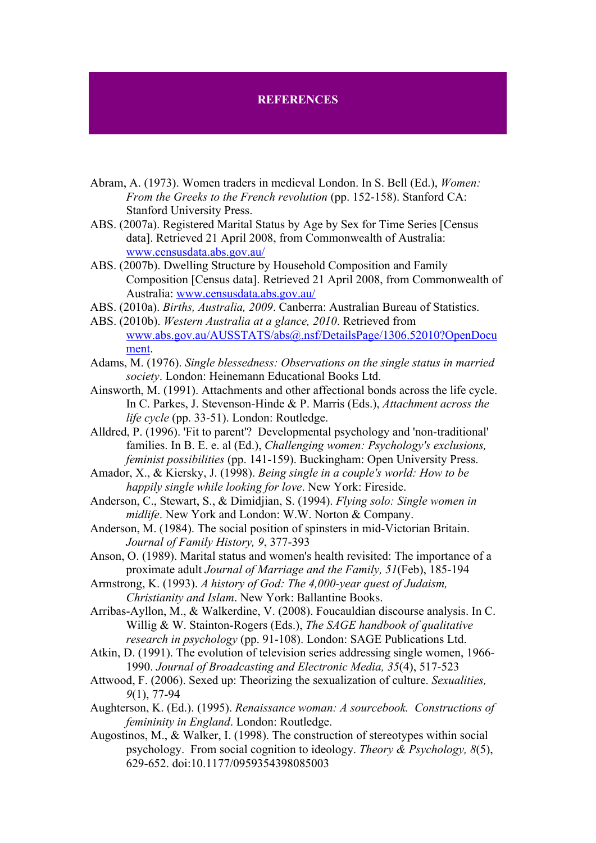## **REFERENCES**

- Abram, A. (1973). Women traders in medieval London. In S. Bell (Ed.), *Women: From the Greeks to the French revolution* (pp. 152-158). Stanford CA: Stanford University Press.
- ABS. (2007a). Registered Marital Status by Age by Sex for Time Series [Census data]. Retrieved 21 April 2008, from Commonwealth of Australia: www.censusdata.abs.gov.au/
- ABS. (2007b). Dwelling Structure by Household Composition and Family Composition [Census data]. Retrieved 21 April 2008, from Commonwealth of Australia: www.censusdata.abs.gov.au/
- ABS. (2010a). *Births, Australia, 2009*. Canberra: Australian Bureau of Statistics.
- ABS. (2010b). *Western Australia at a glance, 2010*. Retrieved from www.abs.gov.au/AUSSTATS/abs@.nsf/DetailsPage/1306.52010?OpenDocu ment.
- Adams, M. (1976). *Single blessedness: Observations on the single status in married society*. London: Heinemann Educational Books Ltd.
- Ainsworth, M. (1991). Attachments and other affectional bonds across the life cycle. In C. Parkes, J. Stevenson-Hinde & P. Marris (Eds.), *Attachment across the life cycle* (pp. 33-51). London: Routledge.
- Alldred, P. (1996). 'Fit to parent'? Developmental psychology and 'non-traditional' families. In B. E. e. al (Ed.), *Challenging women: Psychology's exclusions, feminist possibilities* (pp. 141-159). Buckingham: Open University Press.
- Amador, X., & Kiersky, J. (1998). *Being single in a couple's world: How to be happily single while looking for love*. New York: Fireside.
- Anderson, C., Stewart, S., & Dimidjian, S. (1994). *Flying solo: Single women in midlife*. New York and London: W.W. Norton & Company.
- Anderson, M. (1984). The social position of spinsters in mid-Victorian Britain. *Journal of Family History, 9*, 377-393
- Anson, O. (1989). Marital status and women's health revisited: The importance of a proximate adult *Journal of Marriage and the Family, 51*(Feb), 185-194

Armstrong, K. (1993). *A history of God: The 4,000-year quest of Judaism, Christianity and Islam*. New York: Ballantine Books.

Arribas-Ayllon, M., & Walkerdine, V. (2008). Foucauldian discourse analysis. In C. Willig & W. Stainton-Rogers (Eds.), *The SAGE handbook of qualitative research in psychology* (pp. 91-108). London: SAGE Publications Ltd.

- Atkin, D. (1991). The evolution of television series addressing single women, 1966- 1990. *Journal of Broadcasting and Electronic Media, 35*(4), 517-523
- Attwood, F. (2006). Sexed up: Theorizing the sexualization of culture. *Sexualities, 9*(1), 77-94
- Aughterson, K. (Ed.). (1995). *Renaissance woman: A sourcebook. Constructions of femininity in England*. London: Routledge.
- Augostinos, M., & Walker, I. (1998). The construction of stereotypes within social psychology. From social cognition to ideology. *Theory & Psychology, 8*(5), 629-652. doi:10.1177/0959354398085003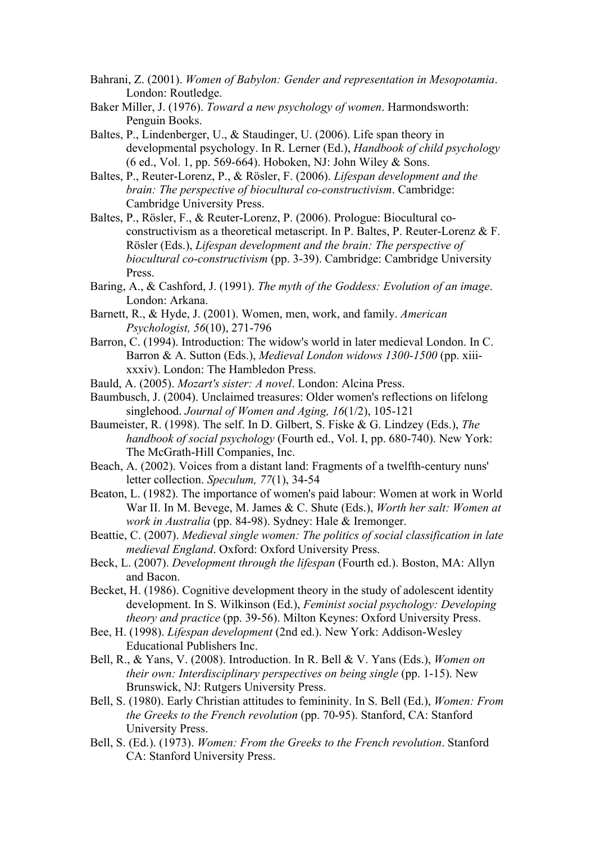- Bahrani, Z. (2001). *Women of Babylon: Gender and representation in Mesopotamia*. London: Routledge.
- Baker Miller, J. (1976). *Toward a new psychology of women*. Harmondsworth: Penguin Books.
- Baltes, P., Lindenberger, U., & Staudinger, U. (2006). Life span theory in developmental psychology. In R. Lerner (Ed.), *Handbook of child psychology* (6 ed., Vol. 1, pp. 569-664). Hoboken, NJ: John Wiley & Sons.
- Baltes, P., Reuter-Lorenz, P., & Rösler, F. (2006). *Lifespan development and the brain: The perspective of biocultural co-constructivism*. Cambridge: Cambridge University Press.
- Baltes, P., Rösler, F., & Reuter-Lorenz, P. (2006). Prologue: Biocultural coconstructivism as a theoretical metascript. In P. Baltes, P. Reuter-Lorenz & F. Rösler (Eds.), *Lifespan development and the brain: The perspective of biocultural co-constructivism* (pp. 3-39). Cambridge: Cambridge University Press.
- Baring, A., & Cashford, J. (1991). *The myth of the Goddess: Evolution of an image*. London: Arkana.
- Barnett, R., & Hyde, J. (2001). Women, men, work, and family. *American Psychologist, 56*(10), 271-796
- Barron, C. (1994). Introduction: The widow's world in later medieval London. In C. Barron & A. Sutton (Eds.), *Medieval London widows 1300-1500* (pp. xiiixxxiv). London: The Hambledon Press.
- Bauld, A. (2005). *Mozart's sister: A novel*. London: Alcina Press.
- Baumbusch, J. (2004). Unclaimed treasures: Older women's reflections on lifelong singlehood. *Journal of Women and Aging, 16*(1/2), 105-121
- Baumeister, R. (1998). The self. In D. Gilbert, S. Fiske & G. Lindzey (Eds.), *The handbook of social psychology* (Fourth ed., Vol. I, pp. 680-740). New York: The McGrath-Hill Companies, Inc.
- Beach, A. (2002). Voices from a distant land: Fragments of a twelfth-century nuns' letter collection. *Speculum, 77*(1), 34-54
- Beaton, L. (1982). The importance of women's paid labour: Women at work in World War II. In M. Bevege, M. James & C. Shute (Eds.), *Worth her salt: Women at work in Australia* (pp. 84-98). Sydney: Hale & Iremonger.
- Beattie, C. (2007). *Medieval single women: The politics of social classification in late medieval England*. Oxford: Oxford University Press.
- Beck, L. (2007). *Development through the lifespan* (Fourth ed.). Boston, MA: Allyn and Bacon.
- Becket, H. (1986). Cognitive development theory in the study of adolescent identity development. In S. Wilkinson (Ed.), *Feminist social psychology: Developing theory and practice* (pp. 39-56). Milton Keynes: Oxford University Press.
- Bee, H. (1998). *Lifespan development* (2nd ed.). New York: Addison-Wesley Educational Publishers Inc.
- Bell, R., & Yans, V. (2008). Introduction. In R. Bell & V. Yans (Eds.), *Women on their own: Interdisciplinary perspectives on being single* (pp. 1-15). New Brunswick, NJ: Rutgers University Press.
- Bell, S. (1980). Early Christian attitudes to femininity. In S. Bell (Ed.), *Women: From the Greeks to the French revolution* (pp. 70-95). Stanford, CA: Stanford University Press.
- Bell, S. (Ed.). (1973). *Women: From the Greeks to the French revolution*. Stanford CA: Stanford University Press.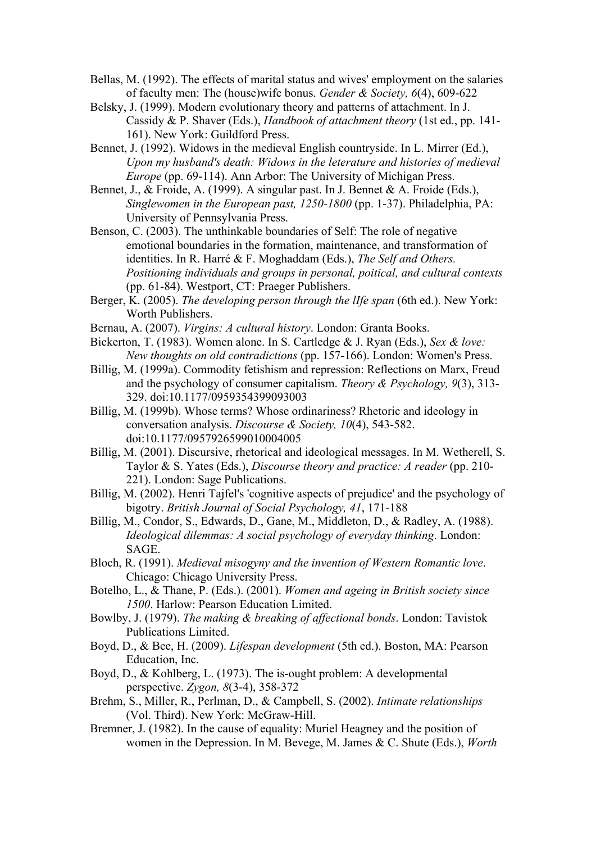Bellas, M. (1992). The effects of marital status and wives' employment on the salaries of faculty men: The (house)wife bonus. *Gender & Society, 6*(4), 609-622

Belsky, J. (1999). Modern evolutionary theory and patterns of attachment. In J. Cassidy & P. Shaver (Eds.), *Handbook of attachment theory* (1st ed., pp. 141- 161). New York: Guildford Press.

- Bennet, J. (1992). Widows in the medieval English countryside. In L. Mirrer (Ed.), *Upon my husband's death: Widows in the leterature and histories of medieval Europe* (pp. 69-114). Ann Arbor: The University of Michigan Press.
- Bennet, J., & Froide, A. (1999). A singular past. In J. Bennet & A. Froide (Eds.), *Singlewomen in the European past, 1250-1800* (pp. 1-37). Philadelphia, PA: University of Pennsylvania Press.
- Benson, C. (2003). The unthinkable boundaries of Self: The role of negative emotional boundaries in the formation, maintenance, and transformation of identities. In R. Harré & F. Moghaddam (Eds.), *The Self and Others. Positioning individuals and groups in personal, poitical, and cultural contexts* (pp. 61-84). Westport, CT: Praeger Publishers.
- Berger, K. (2005). *The developing person through the lIfe span* (6th ed.). New York: Worth Publishers.
- Bernau, A. (2007). *Virgins: A cultural history*. London: Granta Books.
- Bickerton, T. (1983). Women alone. In S. Cartledge & J. Ryan (Eds.), *Sex & love: New thoughts on old contradictions* (pp. 157-166). London: Women's Press.
- Billig, M. (1999a). Commodity fetishism and repression: Reflections on Marx, Freud and the psychology of consumer capitalism. *Theory & Psychology, 9*(3), 313- 329. doi:10.1177/0959354399093003
- Billig, M. (1999b). Whose terms? Whose ordinariness? Rhetoric and ideology in conversation analysis. *Discourse & Society, 10*(4), 543-582. doi:10.1177/0957926599010004005
- Billig, M. (2001). Discursive, rhetorical and ideological messages. In M. Wetherell, S. Taylor & S. Yates (Eds.), *Discourse theory and practice: A reader* (pp. 210- 221). London: Sage Publications.
- Billig, M. (2002). Henri Tajfel's 'cognitive aspects of prejudice' and the psychology of bigotry. *British Journal of Social Psychology, 41*, 171-188
- Billig, M., Condor, S., Edwards, D., Gane, M., Middleton, D., & Radley, A. (1988). *Ideological dilemmas: A social psychology of everyday thinking*. London: SAGE.
- Bloch, R. (1991). *Medieval misogyny and the invention of Western Romantic love*. Chicago: Chicago University Press.
- Botelho, L., & Thane, P. (Eds.). (2001). *Women and ageing in British society since 1500*. Harlow: Pearson Education Limited.
- Bowlby, J. (1979). *The making & breaking of affectional bonds*. London: Tavistok Publications Limited.
- Boyd, D., & Bee, H. (2009). *Lifespan development* (5th ed.). Boston, MA: Pearson Education, Inc.
- Boyd, D., & Kohlberg, L. (1973). The is-ought problem: A developmental perspective. *Zygon, 8*(3-4), 358-372
- Brehm, S., Miller, R., Perlman, D., & Campbell, S. (2002). *Intimate relationships* (Vol. Third). New York: McGraw-Hill.
- Bremner, J. (1982). In the cause of equality: Muriel Heagney and the position of women in the Depression. In M. Bevege, M. James & C. Shute (Eds.), *Worth*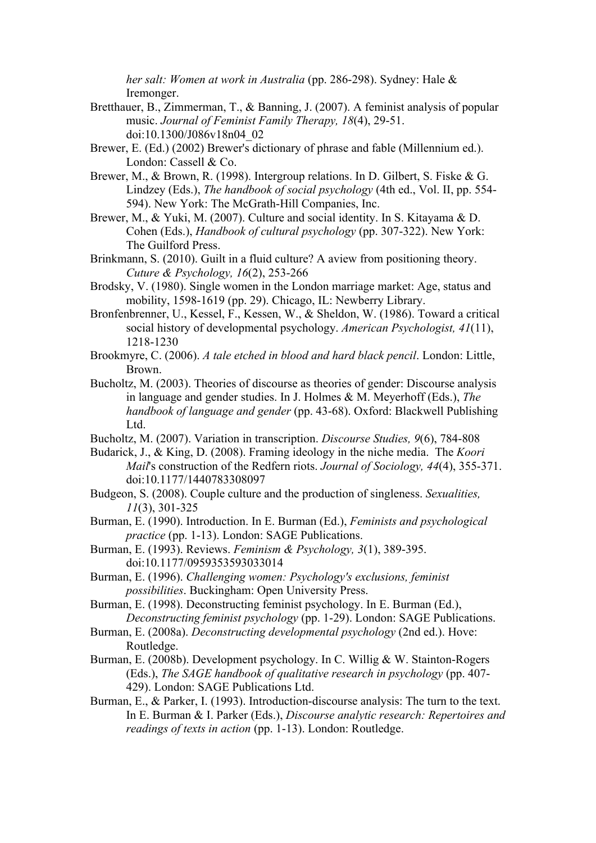*her salt: Women at work in Australia* (pp. 286-298). Sydney: Hale & Iremonger.

- Bretthauer, B., Zimmerman, T., & Banning, J. (2007). A feminist analysis of popular music. *Journal of Feminist Family Therapy, 18*(4), 29-51. doi:10.1300/J086v18n04\_02
- Brewer, E. (Ed.) (2002) Brewer's dictionary of phrase and fable (Millennium ed.). London: Cassell & Co.
- Brewer, M., & Brown, R. (1998). Intergroup relations. In D. Gilbert, S. Fiske & G. Lindzey (Eds.), *The handbook of social psychology* (4th ed., Vol. II, pp. 554- 594). New York: The McGrath-Hill Companies, Inc.
- Brewer, M., & Yuki, M. (2007). Culture and social identity. In S. Kitayama & D. Cohen (Eds.), *Handbook of cultural psychology* (pp. 307-322). New York: The Guilford Press.
- Brinkmann, S. (2010). Guilt in a fluid culture? A aview from positioning theory. *Cuture & Psychology, 16*(2), 253-266
- Brodsky, V. (1980). Single women in the London marriage market: Age, status and mobility, 1598-1619 (pp. 29). Chicago, IL: Newberry Library.
- Bronfenbrenner, U., Kessel, F., Kessen, W., & Sheldon, W. (1986). Toward a critical social history of developmental psychology. *American Psychologist, 41*(11), 1218-1230
- Brookmyre, C. (2006). *A tale etched in blood and hard black pencil*. London: Little, Brown.
- Bucholtz, M. (2003). Theories of discourse as theories of gender: Discourse analysis in language and gender studies. In J. Holmes & M. Meyerhoff (Eds.), *The handbook of language and gender* (pp. 43-68). Oxford: Blackwell Publishing Ltd.
- Bucholtz, M. (2007). Variation in transcription. *Discourse Studies, 9*(6), 784-808
- Budarick, J., & King, D. (2008). Framing ideology in the niche media. The *Koori Mail*'s construction of the Redfern riots. *Journal of Sociology, 44*(4), 355-371. doi:10.1177/1440783308097
- Budgeon, S. (2008). Couple culture and the production of singleness. *Sexualities, 11*(3), 301-325
- Burman, E. (1990). Introduction. In E. Burman (Ed.), *Feminists and psychological practice* (pp. 1-13). London: SAGE Publications.
- Burman, E. (1993). Reviews. *Feminism & Psychology, 3*(1), 389-395. doi:10.1177/0959353593033014
- Burman, E. (1996). *Challenging women: Psychology's exclusions, feminist possibilities*. Buckingham: Open University Press.
- Burman, E. (1998). Deconstructing feminist psychology. In E. Burman (Ed.), *Deconstructing feminist psychology* (pp. 1-29). London: SAGE Publications.
- Burman, E. (2008a). *Deconstructing developmental psychology* (2nd ed.). Hove: Routledge.
- Burman, E. (2008b). Development psychology. In C. Willig & W. Stainton-Rogers (Eds.), *The SAGE handbook of qualitative research in psychology* (pp. 407- 429). London: SAGE Publications Ltd.
- Burman, E., & Parker, I. (1993). Introduction-discourse analysis: The turn to the text. In E. Burman & I. Parker (Eds.), *Discourse analytic research: Repertoires and readings of texts in action* (pp. 1-13). London: Routledge.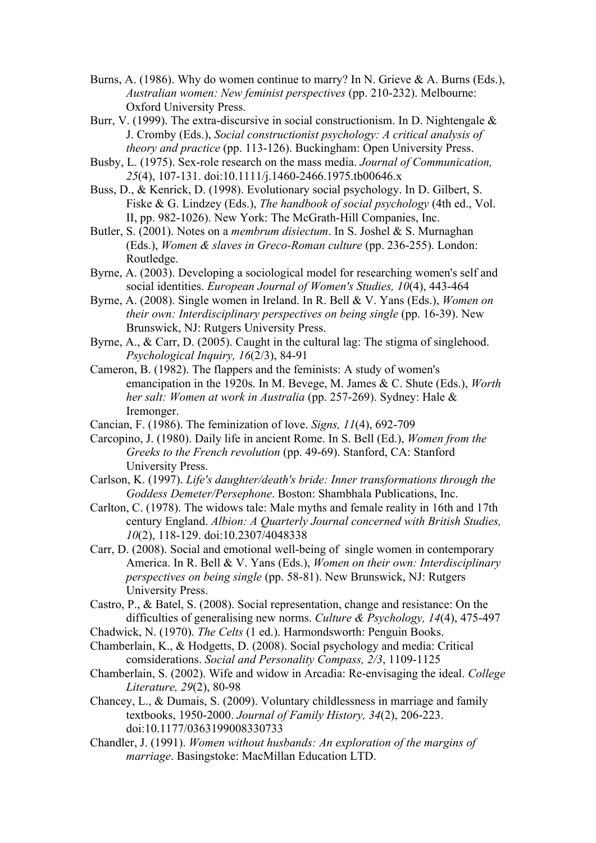- Burns, A. (1986). Why do women continue to marry? In N. Grieve & A. Burns (Eds.), *Australian women: New feminist perspectives* (pp. 210-232). Melbourne: Oxford University Press.
- Burr, V. (1999). The extra-discursive in social constructionism. In D. Nightengale & J. Cromby (Eds.), *Social constructionist psychology: A critical analysis of theory and practice* (pp. 113-126). Buckingham: Open University Press.
- Busby, L. (1975). Sex-role research on the mass media. *Journal of Communication, 25*(4), 107-131. doi:10.1111/j.1460-2466.1975.tb00646.x
- Buss, D., & Kenrick, D. (1998). Evolutionary social psychology. In D. Gilbert, S. Fiske & G. Lindzey (Eds.), *The handbook of social psychology* (4th ed., Vol. II, pp. 982-1026). New York: The McGrath-Hill Companies, Inc.
- Butler, S. (2001). Notes on a *membrum disiectum*. In S. Joshel & S. Murnaghan (Eds.), *Women & slaves in Greco-Roman culture* (pp. 236-255). London: Routledge.
- Byrne, A. (2003). Developing a sociological model for researching women's self and social identities. *European Journal of Women's Studies, 10*(4), 443-464
- Byrne, A. (2008). Single women in Ireland. In R. Bell & V. Yans (Eds.), *Women on their own: Interdisciplinary perspectives on being single* (pp. 16-39). New Brunswick, NJ: Rutgers University Press.
- Byrne, A., & Carr, D. (2005). Caught in the cultural lag: The stigma of singlehood. *Psychological Inquiry, 16*(2/3), 84-91
- Cameron, B. (1982). The flappers and the feminists: A study of women's emancipation in the 1920s. In M. Bevege, M. James & C. Shute (Eds.), *Worth her salt: Women at work in Australia* (pp. 257-269). Sydney: Hale & Iremonger.
- Cancian, F. (1986). The feminization of love. *Signs, 11*(4), 692-709
- Carcopino, J. (1980). Daily life in ancient Rome. In S. Bell (Ed.), *Women from the Greeks to the French revolution* (pp. 49-69). Stanford, CA: Stanford University Press.
- Carlson, K. (1997). *Life's daughter/death's bride: Inner transformations through the Goddess Demeter/Persephone*. Boston: Shambhala Publications, Inc.
- Carlton, C. (1978). The widows tale: Male myths and female reality in 16th and 17th century England. *Albion: A Quarterly Journal concerned with British Studies, 10*(2), 118-129. doi:10.2307/4048338
- Carr, D. (2008). Social and emotional well-being of single women in contemporary America. In R. Bell & V. Yans (Eds.), *Women on their own: Interdisciplinary perspectives on being single* (pp. 58-81). New Brunswick, NJ: Rutgers University Press.
- Castro, P., & Batel, S. (2008). Social representation, change and resistance: On the difficulties of generalising new norms. *Culture & Psychology, 14*(4), 475-497
- Chadwick, N. (1970). *The Celts* (1 ed.). Harmondsworth: Penguin Books.
- Chamberlain, K., & Hodgetts, D. (2008). Social psychology and media: Critical comsiderations. *Social and Personality Compass, 2/3*, 1109-1125
- Chamberlain, S. (2002). Wife and widow in Arcadia: Re-envisaging the ideal. *College Literature, 29*(2), 80-98
- Chancey, L., & Dumais, S. (2009). Voluntary childlessness in marriage and family textbooks, 1950-2000. *Journal of Family History, 34*(2), 206-223. doi:10.1177/0363199008330733
- Chandler, J. (1991). *Women without husbands: An exploration of the margins of marriage*. Basingstoke: MacMillan Education LTD.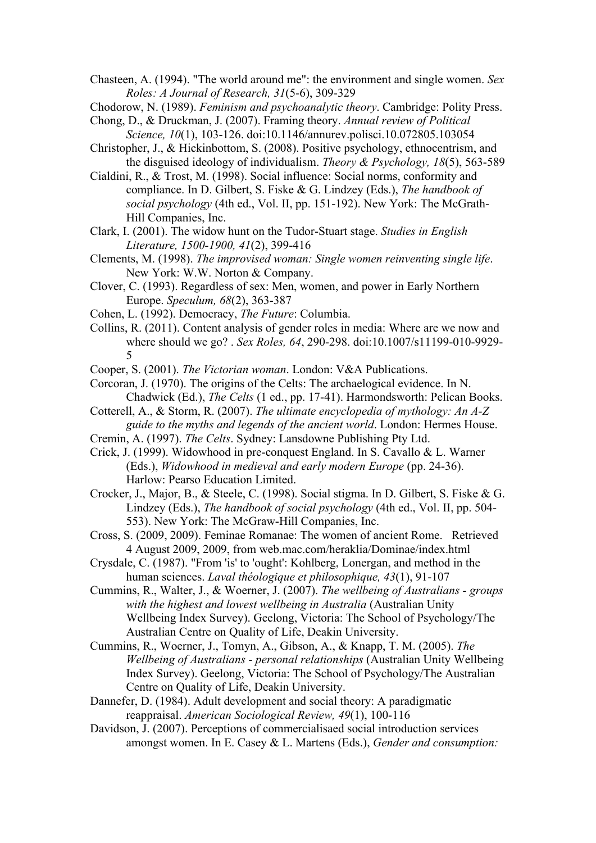Chasteen, A. (1994). "The world around me": the environment and single women. *Sex Roles: A Journal of Research, 31*(5-6), 309-329

Chodorow, N. (1989). *Feminism and psychoanalytic theory*. Cambridge: Polity Press.

- Chong, D., & Druckman, J. (2007). Framing theory. *Annual review of Political Science, 10*(1), 103-126. doi:10.1146/annurev.polisci.10.072805.103054
- Christopher, J., & Hickinbottom, S. (2008). Positive psychology, ethnocentrism, and the disguised ideology of individualism. *Theory & Psychology, 18*(5), 563-589
- Cialdini, R., & Trost, M. (1998). Social influence: Social norms, conformity and compliance. In D. Gilbert, S. Fiske & G. Lindzey (Eds.), *The handbook of social psychology* (4th ed., Vol. II, pp. 151-192). New York: The McGrath-Hill Companies, Inc.
- Clark, I. (2001). The widow hunt on the Tudor-Stuart stage. *Studies in English Literature, 1500-1900, 41*(2), 399-416
- Clements, M. (1998). *The improvised woman: Single women reinventing single life*. New York: W.W. Norton & Company.
- Clover, C. (1993). Regardless of sex: Men, women, and power in Early Northern Europe. *Speculum, 68*(2), 363-387
- Cohen, L. (1992). Democracy, *The Future*: Columbia.
- Collins, R. (2011). Content analysis of gender roles in media: Where are we now and where should we go? . *Sex Roles, 64*, 290-298. doi:10.1007/s11199-010-9929- 5

Cooper, S. (2001). *The Victorian woman*. London: V&A Publications.

- Corcoran, J. (1970). The origins of the Celts: The archaelogical evidence. In N. Chadwick (Ed.), *The Celts* (1 ed., pp. 17-41). Harmondsworth: Pelican Books.
- Cotterell, A., & Storm, R. (2007). *The ultimate encyclopedia of mythology: An A-Z guide to the myths and legends of the ancient world*. London: Hermes House.
- Cremin, A. (1997). *The Celts*. Sydney: Lansdowne Publishing Pty Ltd.
- Crick, J. (1999). Widowhood in pre-conquest England. In S. Cavallo & L. Warner (Eds.), *Widowhood in medieval and early modern Europe* (pp. 24-36). Harlow: Pearso Education Limited.
- Crocker, J., Major, B., & Steele, C. (1998). Social stigma. In D. Gilbert, S. Fiske & G. Lindzey (Eds.), *The handbook of social psychology* (4th ed., Vol. II, pp. 504- 553). New York: The McGraw-Hill Companies, Inc.
- Cross, S. (2009, 2009). Feminae Romanae: The women of ancient Rome. Retrieved 4 August 2009, 2009, from web.mac.com/heraklia/Dominae/index.html
- Crysdale, C. (1987). "From 'is' to 'ought': Kohlberg, Lonergan, and method in the human sciences. *Laval théologique et philosophique, 43*(1), 91-107
- Cummins, R., Walter, J., & Woerner, J. (2007). *The wellbeing of Australians groups with the highest and lowest wellbeing in Australia* (Australian Unity Wellbeing Index Survey). Geelong, Victoria: The School of Psychology/The Australian Centre on Quality of Life, Deakin University.
- Cummins, R., Woerner, J., Tomyn, A., Gibson, A., & Knapp, T. M. (2005). *The Wellbeing of Australians - personal relationships* (Australian Unity Wellbeing Index Survey). Geelong, Victoria: The School of Psychology/The Australian Centre on Quality of Life, Deakin University.
- Dannefer, D. (1984). Adult development and social theory: A paradigmatic reappraisal. *American Sociological Review, 49*(1), 100-116
- Davidson, J. (2007). Perceptions of commercialisaed social introduction services amongst women. In E. Casey & L. Martens (Eds.), *Gender and consumption:*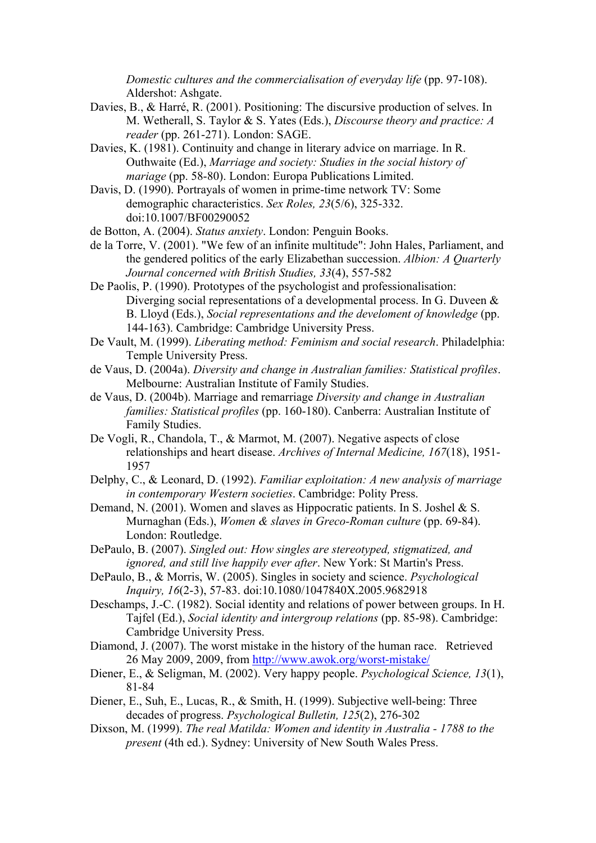*Domestic cultures and the commercialisation of everyday life* (pp. 97-108). Aldershot: Ashgate.

- Davies, B., & Harré, R. (2001). Positioning: The discursive production of selves. In M. Wetherall, S. Taylor & S. Yates (Eds.), *Discourse theory and practice: A reader* (pp. 261-271). London: SAGE.
- Davies, K. (1981). Continuity and change in literary advice on marriage. In R. Outhwaite (Ed.), *Marriage and society: Studies in the social history of mariage* (pp. 58-80). London: Europa Publications Limited.
- Davis, D. (1990). Portrayals of women in prime-time network TV: Some demographic characteristics. *Sex Roles, 23*(5/6), 325-332. doi:10.1007/BF00290052

de Botton, A. (2004). *Status anxiety*. London: Penguin Books.

- de la Torre, V. (2001). "We few of an infinite multitude": John Hales, Parliament, and the gendered politics of the early Elizabethan succession. *Albion: A Quarterly Journal concerned with British Studies, 33*(4), 557-582
- De Paolis, P. (1990). Prototypes of the psychologist and professionalisation: Diverging social representations of a developmental process. In G. Duveen & B. Lloyd (Eds.), *Social representations and the develoment of knowledge* (pp. 144-163). Cambridge: Cambridge University Press.
- De Vault, M. (1999). *Liberating method: Feminism and social research*. Philadelphia: Temple University Press.
- de Vaus, D. (2004a). *Diversity and change in Australian families: Statistical profiles*. Melbourne: Australian Institute of Family Studies.
- de Vaus, D. (2004b). Marriage and remarriage *Diversity and change in Australian families: Statistical profiles* (pp. 160-180). Canberra: Australian Institute of Family Studies.
- De Vogli, R., Chandola, T., & Marmot, M. (2007). Negative aspects of close relationships and heart disease. *Archives of Internal Medicine, 167*(18), 1951- 1957
- Delphy, C., & Leonard, D. (1992). *Familiar exploitation: A new analysis of marriage in contemporary Western societies*. Cambridge: Polity Press.
- Demand, N. (2001). Women and slaves as Hippocratic patients. In S. Joshel & S. Murnaghan (Eds.), *Women & slaves in Greco-Roman culture* (pp. 69-84). London: Routledge.
- DePaulo, B. (2007). *Singled out: How singles are stereotyped, stigmatized, and ignored, and still live happily ever after*. New York: St Martin's Press.
- DePaulo, B., & Morris, W. (2005). Singles in society and science. *Psychological Inquiry, 16*(2-3), 57-83. doi:10.1080/1047840X.2005.9682918
- Deschamps, J.-C. (1982). Social identity and relations of power between groups. In H. Tajfel (Ed.), *Social identity and intergroup relations* (pp. 85-98). Cambridge: Cambridge University Press.
- Diamond, J. (2007). The worst mistake in the history of the human race. Retrieved 26 May 2009, 2009, from http://www.awok.org/worst-mistake/
- Diener, E., & Seligman, M. (2002). Very happy people. *Psychological Science, 13*(1), 81-84
- Diener, E., Suh, E., Lucas, R., & Smith, H. (1999). Subjective well-being: Three decades of progress. *Psychological Bulletin, 125*(2), 276-302
- Dixson, M. (1999). *The real Matilda: Women and identity in Australia 1788 to the present* (4th ed.). Sydney: University of New South Wales Press.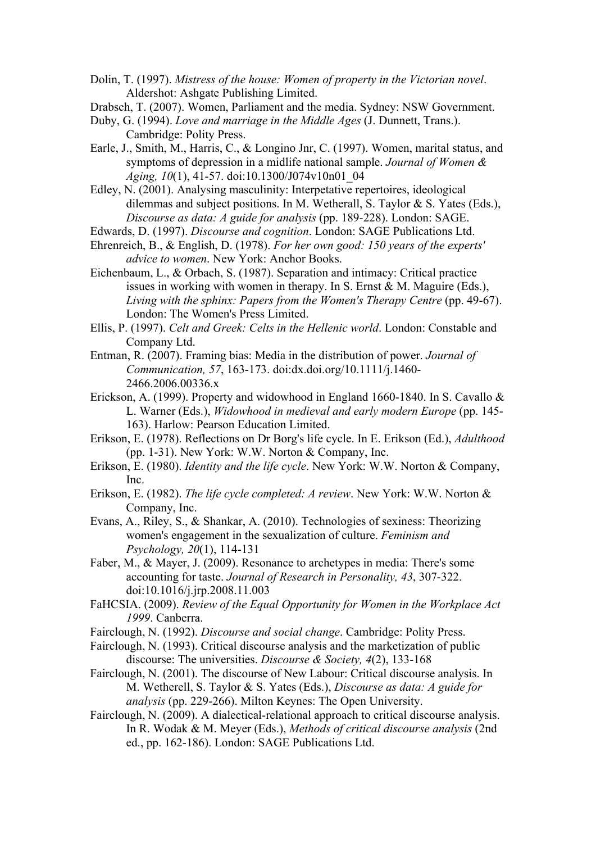Dolin, T. (1997). *Mistress of the house: Women of property in the Victorian novel*. Aldershot: Ashgate Publishing Limited.

- Drabsch, T. (2007). Women, Parliament and the media. Sydney: NSW Government.
- Duby, G. (1994). *Love and marriage in the Middle Ages* (J. Dunnett, Trans.). Cambridge: Polity Press.
- Earle, J., Smith, M., Harris, C., & Longino Jnr, C. (1997). Women, marital status, and symptoms of depression in a midlife national sample. *Journal of Women & Aging, 10*(1), 41-57. doi:10.1300/J074v10n01\_04
- Edley, N. (2001). Analysing masculinity: Interpetative repertoires, ideological dilemmas and subject positions. In M. Wetherall, S. Taylor & S. Yates (Eds.), *Discourse as data: A guide for analysis* (pp. 189-228). London: SAGE.
- Edwards, D. (1997). *Discourse and cognition*. London: SAGE Publications Ltd.
- Ehrenreich, B., & English, D. (1978). *For her own good: 150 years of the experts' advice to women*. New York: Anchor Books.
- Eichenbaum, L., & Orbach, S. (1987). Separation and intimacy: Critical practice issues in working with women in therapy. In S. Ernst & M. Maguire (Eds.), *Living with the sphinx: Papers from the Women's Therapy Centre* (pp. 49-67). London: The Women's Press Limited.
- Ellis, P. (1997). *Celt and Greek: Celts in the Hellenic world*. London: Constable and Company Ltd.
- Entman, R. (2007). Framing bias: Media in the distribution of power. *Journal of Communication, 57*, 163-173. doi:dx.doi.org/10.1111/j.1460- 2466.2006.00336.x
- Erickson, A. (1999). Property and widowhood in England 1660-1840. In S. Cavallo & L. Warner (Eds.), *Widowhood in medieval and early modern Europe* (pp. 145- 163). Harlow: Pearson Education Limited.
- Erikson, E. (1978). Reflections on Dr Borg's life cycle. In E. Erikson (Ed.), *Adulthood* (pp. 1-31). New York: W.W. Norton & Company, Inc.
- Erikson, E. (1980). *Identity and the life cycle*. New York: W.W. Norton & Company, Inc.
- Erikson, E. (1982). *The life cycle completed: A review*. New York: W.W. Norton & Company, Inc.
- Evans, A., Riley, S., & Shankar, A. (2010). Technologies of sexiness: Theorizing women's engagement in the sexualization of culture. *Feminism and Psychology, 20*(1), 114-131
- Faber, M., & Mayer, J. (2009). Resonance to archetypes in media: There's some accounting for taste. *Journal of Research in Personality, 43*, 307-322. doi:10.1016/j.jrp.2008.11.003
- FaHCSIA. (2009). *Review of the Equal Opportunity for Women in the Workplace Act 1999*. Canberra.
- Fairclough, N. (1992). *Discourse and social change*. Cambridge: Polity Press.
- Fairclough, N. (1993). Critical discourse analysis and the marketization of public discourse: The universities. *Discourse & Society, 4*(2), 133-168
- Fairclough, N. (2001). The discourse of New Labour: Critical discourse analysis. In M. Wetherell, S. Taylor & S. Yates (Eds.), *Discourse as data: A guide for analysis* (pp. 229-266). Milton Keynes: The Open University.
- Fairclough, N. (2009). A dialectical-relational approach to critical discourse analysis. In R. Wodak & M. Meyer (Eds.), *Methods of critical discourse analysis* (2nd ed., pp. 162-186). London: SAGE Publications Ltd.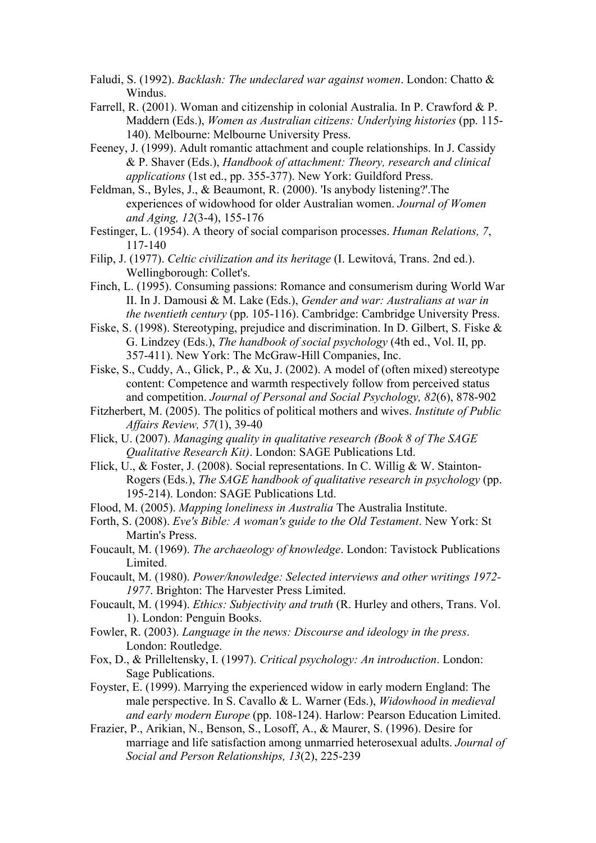- Faludi, S. (1992). *Backlash: The undeclared war against women*. London: Chatto & Windus.
- Farrell, R. (2001). Woman and citizenship in colonial Australia. In P. Crawford & P. Maddern (Eds.), *Women as Australian citizens: Underlying histories* (pp. 115- 140). Melbourne: Melbourne University Press.
- Feeney, J. (1999). Adult romantic attachment and couple relationships. In J. Cassidy & P. Shaver (Eds.), *Handbook of attachment: Theory, research and clinical applications* (1st ed., pp. 355-377). New York: Guildford Press.
- Feldman, S., Byles, J., & Beaumont, R. (2000). 'Is anybody listening?'.The experiences of widowhood for older Australian women. *Journal of Women and Aging, 12*(3-4), 155-176
- Festinger, L. (1954). A theory of social comparison processes. *Human Relations, 7*, 117-140
- Filip, J. (1977). *Celtic civilization and its heritage* (I. Lewitová, Trans. 2nd ed.). Wellingborough: Collet's.
- Finch, L. (1995). Consuming passions: Romance and consumerism during World War II. In J. Damousi & M. Lake (Eds.), *Gender and war: Australians at war in the twentieth century* (pp. 105-116). Cambridge: Cambridge University Press.
- Fiske, S. (1998). Stereotyping, prejudice and discrimination. In D. Gilbert, S. Fiske & G. Lindzey (Eds.), *The handbook of social psychology* (4th ed., Vol. II, pp. 357-411). New York: The McGraw-Hill Companies, Inc.
- Fiske, S., Cuddy, A., Glick, P., & Xu, J. (2002). A model of (often mixed) stereotype content: Competence and warmth respectively follow from perceived status and competition. *Journal of Personal and Social Psychology, 82*(6), 878-902
- Fitzherbert, M. (2005). The politics of political mothers and wives. *Institute of Public Affairs Review, 57*(1), 39-40
- Flick, U. (2007). *Managing quality in qualitative research (Book 8 of The SAGE Qualitative Research Kit)*. London: SAGE Publications Ltd.
- Flick, U., & Foster, J. (2008). Social representations. In C. Willig & W. Stainton-Rogers (Eds.), *The SAGE handbook of qualitative research in psychology* (pp. 195-214). London: SAGE Publications Ltd.
- Flood, M. (2005). *Mapping loneliness in Australia* The Australia Institute.
- Forth, S. (2008). *Eve's Bible: A woman's guide to the Old Testament*. New York: St Martin's Press.
- Foucault, M. (1969). *The archaeology of knowledge*. London: Tavistock Publications Limited.
- Foucault, M. (1980). *Power/knowledge: Selected interviews and other writings 1972- 1977*. Brighton: The Harvester Press Limited.
- Foucault, M. (1994). *Ethics: Subjectivity and truth* (R. Hurley and others, Trans. Vol. 1). London: Penguin Books.
- Fowler, R. (2003). *Language in the news: Discourse and ideology in the press*. London: Routledge.
- Fox, D., & Prilleltensky, I. (1997). *Critical psychology: An introduction*. London: Sage Publications.
- Foyster, E. (1999). Marrying the experienced widow in early modern England: The male perspective. In S. Cavallo & L. Warner (Eds.), *Widowhood in medieval and early modern Europe* (pp. 108-124). Harlow: Pearson Education Limited.
- Frazier, P., Arikian, N., Benson, S., Losoff, A., & Maurer, S. (1996). Desire for marriage and life satisfaction among unmarried heterosexual adults. *Journal of Social and Person Relationships, 13*(2), 225-239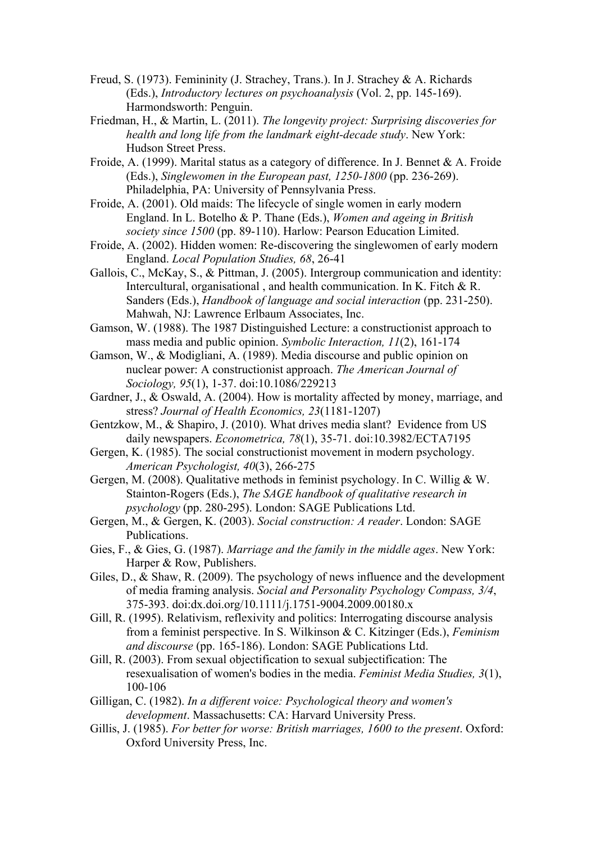- Freud, S. (1973). Femininity (J. Strachey, Trans.). In J. Strachey & A. Richards (Eds.), *Introductory lectures on psychoanalysis* (Vol. 2, pp. 145-169). Harmondsworth: Penguin.
- Friedman, H., & Martin, L. (2011). *The longevity project: Surprising discoveries for health and long life from the landmark eight-decade study*. New York: Hudson Street Press.
- Froide, A. (1999). Marital status as a category of difference. In J. Bennet & A. Froide (Eds.), *Singlewomen in the European past, 1250-1800* (pp. 236-269). Philadelphia, PA: University of Pennsylvania Press.
- Froide, A. (2001). Old maids: The lifecycle of single women in early modern England. In L. Botelho & P. Thane (Eds.), *Women and ageing in British society since 1500* (pp. 89-110). Harlow: Pearson Education Limited.
- Froide, A. (2002). Hidden women: Re-discovering the singlewomen of early modern England. *Local Population Studies, 68*, 26-41
- Gallois, C., McKay, S., & Pittman, J. (2005). Intergroup communication and identity: Intercultural, organisational , and health communication. In K. Fitch & R. Sanders (Eds.), *Handbook of language and social interaction* (pp. 231-250). Mahwah, NJ: Lawrence Erlbaum Associates, Inc.
- Gamson, W. (1988). The 1987 Distinguished Lecture: a constructionist approach to mass media and public opinion. *Symbolic Interaction, 11*(2), 161-174
- Gamson, W., & Modigliani, A. (1989). Media discourse and public opinion on nuclear power: A constructionist approach. *The American Journal of Sociology, 95*(1), 1-37. doi:10.1086/229213
- Gardner, J., & Oswald, A. (2004). How is mortality affected by money, marriage, and stress? *Journal of Health Economics, 23*(1181-1207)
- Gentzkow, M., & Shapiro, J. (2010). What drives media slant? Evidence from US daily newspapers. *Econometrica, 78*(1), 35-71. doi:10.3982/ECTA7195
- Gergen, K. (1985). The social constructionist movement in modern psychology. *American Psychologist, 40*(3), 266-275
- Gergen, M. (2008). Qualitative methods in feminist psychology. In C. Willig & W. Stainton-Rogers (Eds.), *The SAGE handbook of qualitative research in psychology* (pp. 280-295). London: SAGE Publications Ltd.
- Gergen, M., & Gergen, K. (2003). *Social construction: A reader*. London: SAGE Publications.
- Gies, F., & Gies, G. (1987). *Marriage and the family in the middle ages*. New York: Harper & Row, Publishers.
- Giles, D., & Shaw, R. (2009). The psychology of news influence and the development of media framing analysis. *Social and Personality Psychology Compass, 3/4*, 375-393. doi:dx.doi.org/10.1111/j.1751-9004.2009.00180.x
- Gill, R. (1995). Relativism, reflexivity and politics: Interrogating discourse analysis from a feminist perspective. In S. Wilkinson & C. Kitzinger (Eds.), *Feminism and discourse* (pp. 165-186). London: SAGE Publications Ltd.
- Gill, R. (2003). From sexual objectification to sexual subjectification: The resexualisation of women's bodies in the media. *Feminist Media Studies, 3*(1), 100-106
- Gilligan, C. (1982). *In a different voice: Psychological theory and women's development*. Massachusetts: CA: Harvard University Press.
- Gillis, J. (1985). *For better for worse: British marriages, 1600 to the present*. Oxford: Oxford University Press, Inc.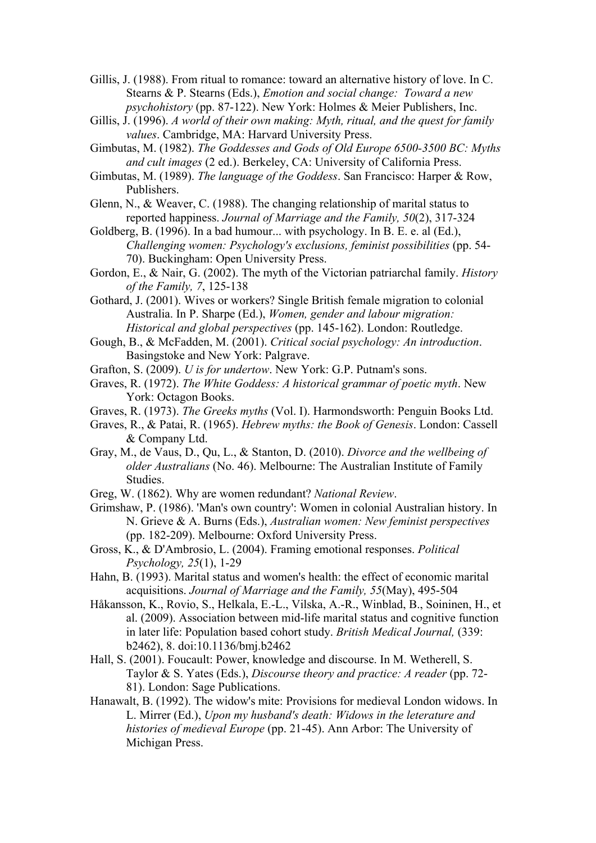Gillis, J. (1988). From ritual to romance: toward an alternative history of love. In C. Stearns & P. Stearns (Eds.), *Emotion and social change: Toward a new psychohistory* (pp. 87-122). New York: Holmes & Meier Publishers, Inc.

- Gillis, J. (1996). *A world of their own making: Myth, ritual, and the quest for family values*. Cambridge, MA: Harvard University Press.
- Gimbutas, M. (1982). *The Goddesses and Gods of Old Europe 6500-3500 BC: Myths and cult images* (2 ed.). Berkeley, CA: University of California Press.
- Gimbutas, M. (1989). *The language of the Goddess*. San Francisco: Harper & Row, Publishers.

Glenn, N., & Weaver, C. (1988). The changing relationship of marital status to reported happiness. *Journal of Marriage and the Family, 50*(2), 317-324

Goldberg, B. (1996). In a bad humour... with psychology. In B. E. e. al (Ed.), *Challenging women: Psychology's exclusions, feminist possibilities* (pp. 54- 70). Buckingham: Open University Press.

Gordon, E., & Nair, G. (2002). The myth of the Victorian patriarchal family. *History of the Family, 7*, 125-138

Gothard, J. (2001). Wives or workers? Single British female migration to colonial Australia. In P. Sharpe (Ed.), *Women, gender and labour migration: Historical and global perspectives* (pp. 145-162). London: Routledge.

- Gough, B., & McFadden, M. (2001). *Critical social psychology: An introduction*. Basingstoke and New York: Palgrave.
- Grafton, S. (2009). *U is for undertow*. New York: G.P. Putnam's sons.
- Graves, R. (1972). *The White Goddess: A historical grammar of poetic myth*. New York: Octagon Books.
- Graves, R. (1973). *The Greeks myths* (Vol. I). Harmondsworth: Penguin Books Ltd.
- Graves, R., & Patai, R. (1965). *Hebrew myths: the Book of Genesis*. London: Cassell & Company Ltd.
- Gray, M., de Vaus, D., Qu, L., & Stanton, D. (2010). *Divorce and the wellbeing of older Australians* (No. 46). Melbourne: The Australian Institute of Family Studies.
- Greg, W. (1862). Why are women redundant? *National Review*.

Grimshaw, P. (1986). 'Man's own country': Women in colonial Australian history. In N. Grieve & A. Burns (Eds.), *Australian women: New feminist perspectives* (pp. 182-209). Melbourne: Oxford University Press.

- Gross, K., & D'Ambrosio, L. (2004). Framing emotional responses. *Political Psychology, 25*(1), 1-29
- Hahn, B. (1993). Marital status and women's health: the effect of economic marital acquisitions. *Journal of Marriage and the Family, 55*(May), 495-504
- Håkansson, K., Rovio, S., Helkala, E.-L., Vilska, A.-R., Winblad, B., Soininen, H., et al. (2009). Association between mid-life marital status and cognitive function in later life: Population based cohort study. *British Medical Journal,* (339: b2462), 8. doi:10.1136/bmj.b2462
- Hall, S. (2001). Foucault: Power, knowledge and discourse. In M. Wetherell, S. Taylor & S. Yates (Eds.), *Discourse theory and practice: A reader* (pp. 72- 81). London: Sage Publications.
- Hanawalt, B. (1992). The widow's mite: Provisions for medieval London widows. In L. Mirrer (Ed.), *Upon my husband's death: Widows in the leterature and histories of medieval Europe* (pp. 21-45). Ann Arbor: The University of Michigan Press.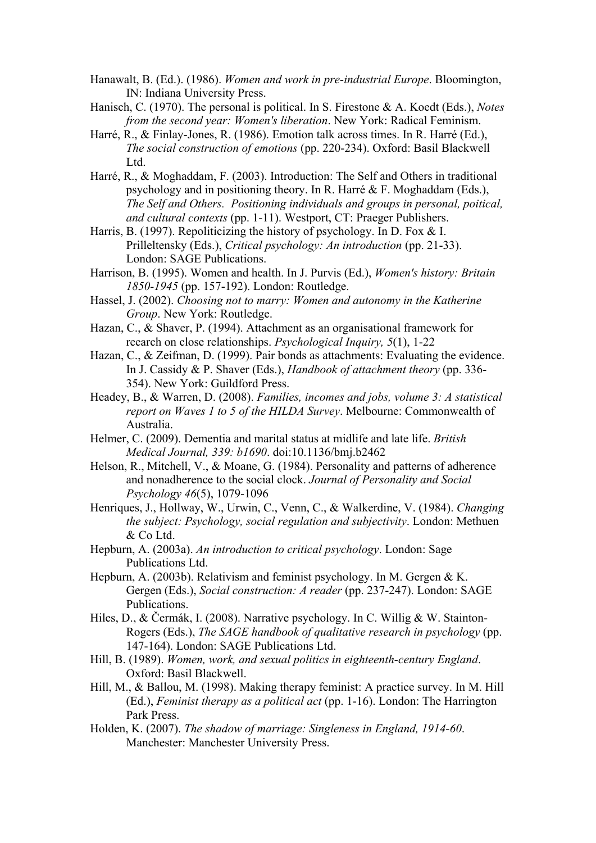- Hanawalt, B. (Ed.). (1986). *Women and work in pre-industrial Europe*. Bloomington, IN: Indiana University Press.
- Hanisch, C. (1970). The personal is political. In S. Firestone & A. Koedt (Eds.), *Notes from the second year: Women's liberation*. New York: Radical Feminism.
- Harré, R., & Finlay-Jones, R. (1986). Emotion talk across times. In R. Harré (Ed.), *The social construction of emotions* (pp. 220-234). Oxford: Basil Blackwell Ltd.
- Harré, R., & Moghaddam, F. (2003). Introduction: The Self and Others in traditional psychology and in positioning theory. In R. Harré & F. Moghaddam (Eds.), *The Self and Others. Positioning individuals and groups in personal, poitical, and cultural contexts* (pp. 1-11). Westport, CT: Praeger Publishers.
- Harris, B. (1997). Repoliticizing the history of psychology. In D. Fox & I. Prilleltensky (Eds.), *Critical psychology: An introduction* (pp. 21-33). London: SAGE Publications.
- Harrison, B. (1995). Women and health. In J. Purvis (Ed.), *Women's history: Britain 1850-1945* (pp. 157-192). London: Routledge.
- Hassel, J. (2002). *Choosing not to marry: Women and autonomy in the Katherine Group*. New York: Routledge.
- Hazan, C., & Shaver, P. (1994). Attachment as an organisational framework for reearch on close relationships. *Psychological Inquiry, 5*(1), 1-22
- Hazan, C., & Zeifman, D. (1999). Pair bonds as attachments: Evaluating the evidence. In J. Cassidy & P. Shaver (Eds.), *Handbook of attachment theory* (pp. 336- 354). New York: Guildford Press.
- Headey, B., & Warren, D. (2008). *Families, incomes and jobs, volume 3: A statistical report on Waves 1 to 5 of the HILDA Survey*. Melbourne: Commonwealth of Australia.
- Helmer, C. (2009). Dementia and marital status at midlife and late life. *British Medical Journal, 339: b1690*. doi:10.1136/bmj.b2462
- Helson, R., Mitchell, V., & Moane, G. (1984). Personality and patterns of adherence and nonadherence to the social clock. *Journal of Personality and Social Psychology 46*(5), 1079-1096
- Henriques, J., Hollway, W., Urwin, C., Venn, C., & Walkerdine, V. (1984). *Changing the subject: Psychology, social regulation and subjectivity*. London: Methuen & Co Ltd.
- Hepburn, A. (2003a). *An introduction to critical psychology*. London: Sage Publications Ltd.
- Hepburn, A. (2003b). Relativism and feminist psychology. In M. Gergen & K. Gergen (Eds.), *Social construction: A reader* (pp. 237-247). London: SAGE Publications.
- Hiles, D., & Čermák, I. (2008). Narrative psychology. In C. Willig & W. Stainton-Rogers (Eds.), *The SAGE handbook of qualitative research in psychology* (pp. 147-164). London: SAGE Publications Ltd.
- Hill, B. (1989). *Women, work, and sexual politics in eighteenth-century England*. Oxford: Basil Blackwell.
- Hill, M., & Ballou, M. (1998). Making therapy feminist: A practice survey. In M. Hill (Ed.), *Feminist therapy as a political act* (pp. 1-16). London: The Harrington Park Press.
- Holden, K. (2007). *The shadow of marriage: Singleness in England, 1914-60*. Manchester: Manchester University Press.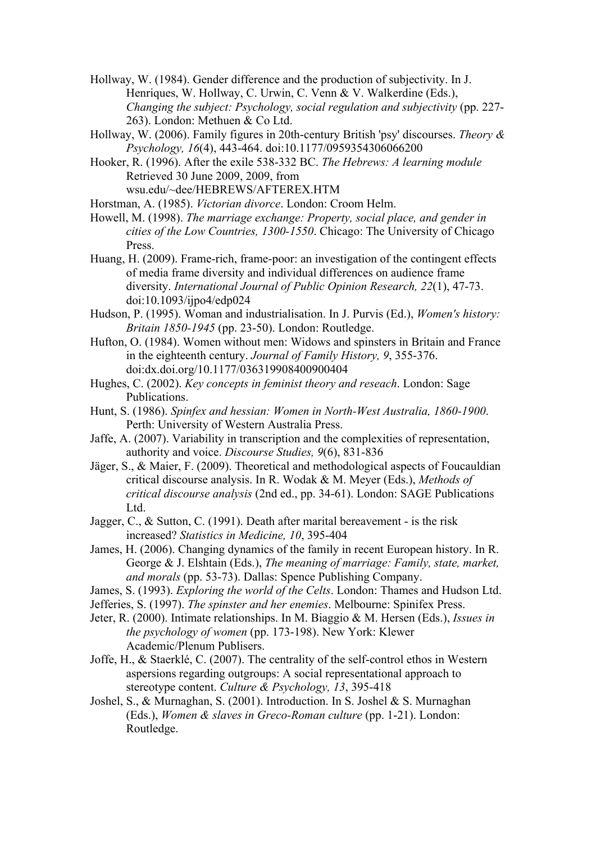Hollway, W. (1984). Gender difference and the production of subjectivity. In J. Henriques, W. Hollway, C. Urwin, C. Venn & V. Walkerdine (Eds.), *Changing the subject: Psychology, social regulation and subjectivity* (pp. 227- 263). London: Methuen & Co Ltd.

Hollway, W. (2006). Family figures in 20th-century British 'psy' discourses. *Theory & Psychology, 16*(4), 443-464. doi:10.1177/0959354306066200

Hooker, R. (1996). After the exile 538-332 BC. *The Hebrews: A learning module* Retrieved 30 June 2009, 2009, from wsu.edu/~dee/HEBREWS/AFTEREX.HTM

Horstman, A. (1985). *Victorian divorce*. London: Croom Helm.

Howell, M. (1998). *The marriage exchange: Property, social place, and gender in cities of the Low Countries, 1300-1550*. Chicago: The University of Chicago Press.

Huang, H. (2009). Frame-rich, frame-poor: an investigation of the contingent effects of media frame diversity and individual differences on audience frame diversity. *International Journal of Public Opinion Research, 22*(1), 47-73. doi:10.1093/ijpo4/edp024

Hudson, P. (1995). Woman and industrialisation. In J. Purvis (Ed.), *Women's history: Britain 1850-1945* (pp. 23-50). London: Routledge.

Hufton, O. (1984). Women without men: Widows and spinsters in Britain and France in the eighteenth century. *Journal of Family History, 9*, 355-376. doi:dx.doi.org/10.1177/036319908400900404

Hughes, C. (2002). *Key concepts in feminist theory and reseach*. London: Sage Publications.

Hunt, S. (1986). *Spinfex and hessian: Women in North-West Australia, 1860-1900*. Perth: University of Western Australia Press.

Jaffe, A. (2007). Variability in transcription and the complexities of representation, authority and voice. *Discourse Studies, 9*(6), 831-836

Jäger, S., & Maier, F. (2009). Theoretical and methodological aspects of Foucauldian critical discourse analysis. In R. Wodak & M. Meyer (Eds.), *Methods of critical discourse analysis* (2nd ed., pp. 34-61). London: SAGE Publications Ltd.

Jagger, C., & Sutton, C. (1991). Death after marital bereavement - is the risk increased? *Statistics in Medicine, 10*, 395-404

James, H. (2006). Changing dynamics of the family in recent European history. In R. George & J. Elshtain (Eds.), *The meaning of marriage: Family, state, market, and morals* (pp. 53-73). Dallas: Spence Publishing Company.

James, S. (1993). *Exploring the world of the Celts*. London: Thames and Hudson Ltd.

Jefferies, S. (1997). *The spinster and her enemies*. Melbourne: Spinifex Press.

Jeter, R. (2000). Intimate relationships. In M. Biaggio & M. Hersen (Eds.), *Issues in the psychology of women* (pp. 173-198). New York: Klewer Academic/Plenum Publisers.

Joffe, H., & Staerklé, C. (2007). The centrality of the self-control ethos in Western aspersions regarding outgroups: A social representational approach to stereotype content. *Culture & Psychology, 13*, 395-418

Joshel, S., & Murnaghan, S. (2001). Introduction. In S. Joshel & S. Murnaghan (Eds.), *Women & slaves in Greco-Roman culture* (pp. 1-21). London: Routledge.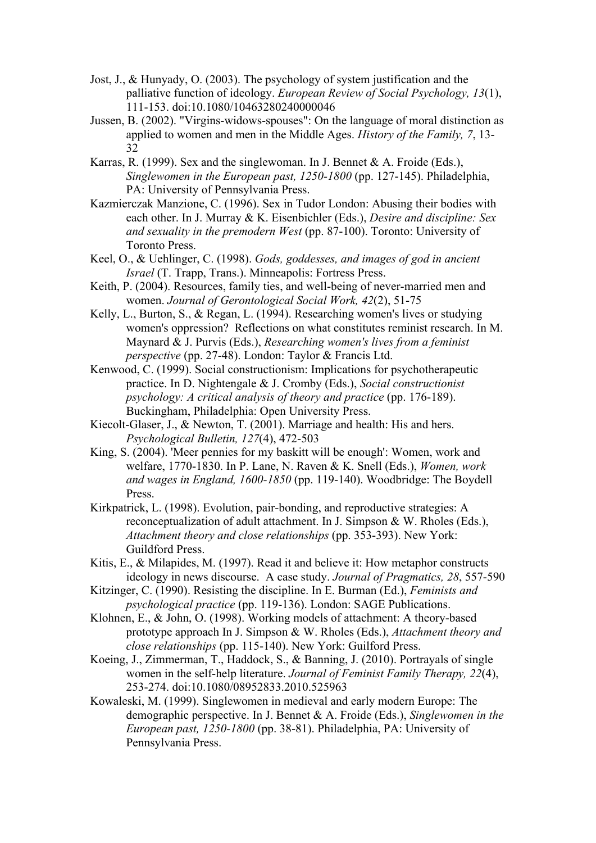- Jost, J., & Hunyady, O. (2003). The psychology of system justification and the palliative function of ideology. *European Review of Social Psychology, 13*(1), 111-153. doi:10.1080/10463280240000046
- Jussen, B. (2002). "Virgins-widows-spouses": On the language of moral distinction as applied to women and men in the Middle Ages. *History of the Family, 7*, 13- 32
- Karras, R. (1999). Sex and the singlewoman. In J. Bennet & A. Froide (Eds.), *Singlewomen in the European past, 1250-1800* (pp. 127-145). Philadelphia, PA: University of Pennsylvania Press.
- Kazmierczak Manzione, C. (1996). Sex in Tudor London: Abusing their bodies with each other. In J. Murray & K. Eisenbichler (Eds.), *Desire and discipline: Sex and sexuality in the premodern West* (pp. 87-100). Toronto: University of Toronto Press.
- Keel, O., & Uehlinger, C. (1998). *Gods, goddesses, and images of god in ancient Israel* (T. Trapp, Trans.). Minneapolis: Fortress Press.
- Keith, P. (2004). Resources, family ties, and well-being of never-married men and women. *Journal of Gerontological Social Work, 42*(2), 51-75
- Kelly, L., Burton, S., & Regan, L. (1994). Researching women's lives or studying women's oppression? Reflections on what constitutes reminist research. In M. Maynard & J. Purvis (Eds.), *Researching women's lives from a feminist perspective* (pp. 27-48). London: Taylor & Francis Ltd.
- Kenwood, C. (1999). Social constructionism: Implications for psychotherapeutic practice. In D. Nightengale & J. Cromby (Eds.), *Social constructionist psychology: A critical analysis of theory and practice* (pp. 176-189). Buckingham, Philadelphia: Open University Press.
- Kiecolt-Glaser, J., & Newton, T. (2001). Marriage and health: His and hers. *Psychological Bulletin, 127*(4), 472-503
- King, S. (2004). 'Meer pennies for my baskitt will be enough': Women, work and welfare, 1770-1830. In P. Lane, N. Raven & K. Snell (Eds.), *Women, work and wages in England, 1600-1850* (pp. 119-140). Woodbridge: The Boydell Press.
- Kirkpatrick, L. (1998). Evolution, pair-bonding, and reproductive strategies: A reconceptualization of adult attachment. In J. Simpson & W. Rholes (Eds.), *Attachment theory and close relationships* (pp. 353-393). New York: Guildford Press.
- Kitis, E., & Milapides, M. (1997). Read it and believe it: How metaphor constructs ideology in news discourse. A case study. *Journal of Pragmatics, 28*, 557-590
- Kitzinger, C. (1990). Resisting the discipline. In E. Burman (Ed.), *Feminists and psychological practice* (pp. 119-136). London: SAGE Publications.
- Klohnen, E., & John, O. (1998). Working models of attachment: A theory-based prototype approach In J. Simpson & W. Rholes (Eds.), *Attachment theory and close relationships* (pp. 115-140). New York: Guilford Press.
- Koeing, J., Zimmerman, T., Haddock, S., & Banning, J. (2010). Portrayals of single women in the self-help literature. *Journal of Feminist Family Therapy, 22*(4), 253-274. doi:10.1080/08952833.2010.525963
- Kowaleski, M. (1999). Singlewomen in medieval and early modern Europe: The demographic perspective. In J. Bennet & A. Froide (Eds.), *Singlewomen in the European past, 1250-1800* (pp. 38-81). Philadelphia, PA: University of Pennsylvania Press.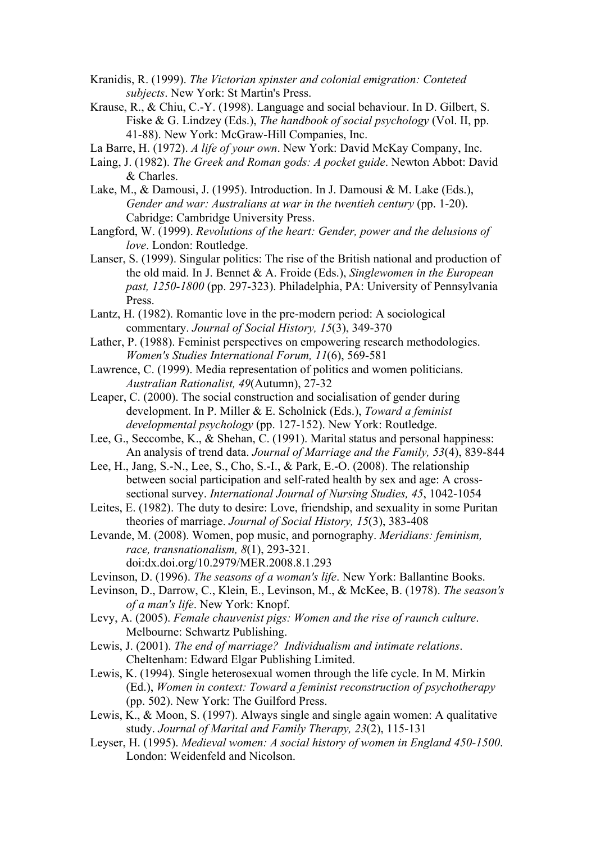- Kranidis, R. (1999). *The Victorian spinster and colonial emigration: Conteted subjects*. New York: St Martin's Press.
- Krause, R., & Chiu, C.-Y. (1998). Language and social behaviour. In D. Gilbert, S. Fiske & G. Lindzey (Eds.), *The handbook of social psychology* (Vol. II, pp. 41-88). New York: McGraw-Hill Companies, Inc.
- La Barre, H. (1972). *A life of your own*. New York: David McKay Company, Inc.
- Laing, J. (1982). *The Greek and Roman gods: A pocket guide*. Newton Abbot: David & Charles.
- Lake, M., & Damousi, J. (1995). Introduction. In J. Damousi & M. Lake (Eds.), *Gender and war: Australians at war in the twentieh century* (pp. 1-20). Cabridge: Cambridge University Press.

Langford, W. (1999). *Revolutions of the heart: Gender, power and the delusions of love*. London: Routledge.

- Lanser, S. (1999). Singular politics: The rise of the British national and production of the old maid. In J. Bennet & A. Froide (Eds.), *Singlewomen in the European past, 1250-1800* (pp. 297-323). Philadelphia, PA: University of Pennsylvania Press.
- Lantz, H. (1982). Romantic love in the pre-modern period: A sociological commentary. *Journal of Social History, 15*(3), 349-370
- Lather, P. (1988). Feminist perspectives on empowering research methodologies. *Women's Studies International Forum, 11*(6), 569-581
- Lawrence, C. (1999). Media representation of politics and women politicians. *Australian Rationalist, 49*(Autumn), 27-32
- Leaper, C. (2000). The social construction and socialisation of gender during development. In P. Miller & E. Scholnick (Eds.), *Toward a feminist developmental psychology* (pp. 127-152). New York: Routledge.
- Lee, G., Seccombe, K., & Shehan, C. (1991). Marital status and personal happiness: An analysis of trend data. *Journal of Marriage and the Family, 53*(4), 839-844
- Lee, H., Jang, S.-N., Lee, S., Cho, S.-I., & Park, E.-O. (2008). The relationship between social participation and self-rated health by sex and age: A crosssectional survey. *International Journal of Nursing Studies, 45*, 1042-1054
- Leites, E. (1982). The duty to desire: Love, friendship, and sexuality in some Puritan theories of marriage. *Journal of Social History, 15*(3), 383-408
- Levande, M. (2008). Women, pop music, and pornography. *Meridians: feminism, race, transnationalism, 8*(1), 293-321. doi:dx.doi.org/10.2979/MER.2008.8.1.293
- Levinson, D. (1996). *The seasons of a woman's life*. New York: Ballantine Books.
- Levinson, D., Darrow, C., Klein, E., Levinson, M., & McKee, B. (1978). *The season's of a man's life*. New York: Knopf.
- Levy, A. (2005). *Female chauvenist pigs: Women and the rise of raunch culture*. Melbourne: Schwartz Publishing.
- Lewis, J. (2001). *The end of marriage? Individualism and intimate relations*. Cheltenham: Edward Elgar Publishing Limited.
- Lewis, K. (1994). Single heterosexual women through the life cycle. In M. Mirkin (Ed.), *Women in context: Toward a feminist reconstruction of psychotherapy* (pp. 502). New York: The Guilford Press.
- Lewis, K., & Moon, S. (1997). Always single and single again women: A qualitative study. *Journal of Marital and Family Therapy, 23*(2), 115-131
- Leyser, H. (1995). *Medieval women: A social history of women in England 450-1500*. London: Weidenfeld and Nicolson.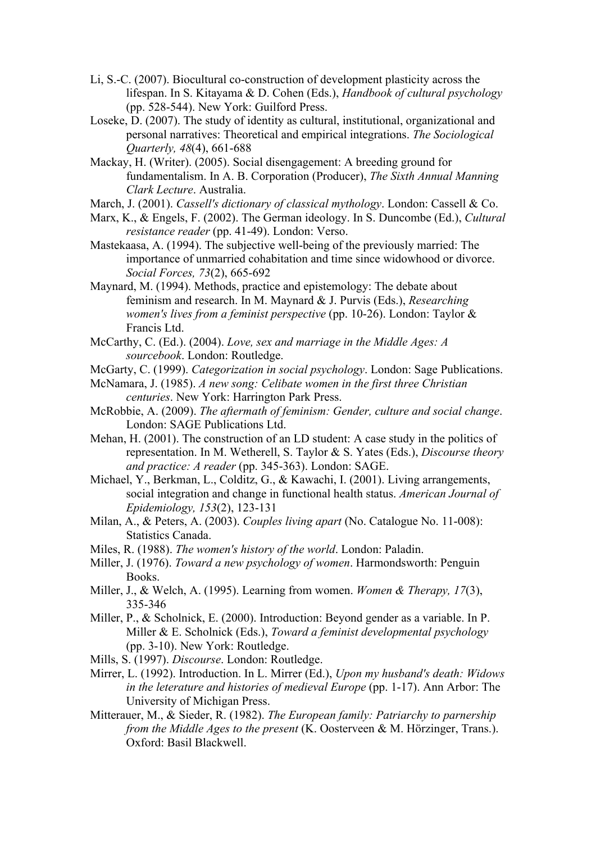- Li, S.-C. (2007). Biocultural co-construction of development plasticity across the lifespan. In S. Kitayama & D. Cohen (Eds.), *Handbook of cultural psychology* (pp. 528-544). New York: Guilford Press.
- Loseke, D. (2007). The study of identity as cultural, institutional, organizational and personal narratives: Theoretical and empirical integrations. *The Sociological Quarterly, 48*(4), 661-688
- Mackay, H. (Writer). (2005). Social disengagement: A breeding ground for fundamentalism. In A. B. Corporation (Producer), *The Sixth Annual Manning Clark Lecture*. Australia.
- March, J. (2001). *Cassell's dictionary of classical mythology*. London: Cassell & Co.
- Marx, K., & Engels, F. (2002). The German ideology. In S. Duncombe (Ed.), *Cultural resistance reader* (pp. 41-49). London: Verso.
- Mastekaasa, A. (1994). The subjective well-being of the previously married: The importance of unmarried cohabitation and time since widowhood or divorce. *Social Forces, 73*(2), 665-692
- Maynard, M. (1994). Methods, practice and epistemology: The debate about feminism and research. In M. Maynard & J. Purvis (Eds.), *Researching women's lives from a feminist perspective* (pp. 10-26). London: Taylor & Francis Ltd.
- McCarthy, C. (Ed.). (2004). *Love, sex and marriage in the Middle Ages: A sourcebook*. London: Routledge.
- McGarty, C. (1999). *Categorization in social psychology*. London: Sage Publications.
- McNamara, J. (1985). *A new song: Celibate women in the first three Christian centuries*. New York: Harrington Park Press.
- McRobbie, A. (2009). *The aftermath of feminism: Gender, culture and social change*. London: SAGE Publications Ltd.
- Mehan, H. (2001). The construction of an LD student: A case study in the politics of representation. In M. Wetherell, S. Taylor & S. Yates (Eds.), *Discourse theory and practice: A reader* (pp. 345-363). London: SAGE.
- Michael, Y., Berkman, L., Colditz, G., & Kawachi, I. (2001). Living arrangements, social integration and change in functional health status. *American Journal of Epidemiology, 153*(2), 123-131
- Milan, A., & Peters, A. (2003). *Couples living apart* (No. Catalogue No. 11-008): Statistics Canada.
- Miles, R. (1988). *The women's history of the world*. London: Paladin.
- Miller, J. (1976). *Toward a new psychology of women*. Harmondsworth: Penguin Books.
- Miller, J., & Welch, A. (1995). Learning from women. *Women & Therapy, 17*(3), 335-346
- Miller, P., & Scholnick, E. (2000). Introduction: Beyond gender as a variable. In P. Miller & E. Scholnick (Eds.), *Toward a feminist developmental psychology* (pp. 3-10). New York: Routledge.
- Mills, S. (1997). *Discourse*. London: Routledge.
- Mirrer, L. (1992). Introduction. In L. Mirrer (Ed.), *Upon my husband's death: Widows in the leterature and histories of medieval Europe* (pp. 1-17). Ann Arbor: The University of Michigan Press.
- Mitterauer, M., & Sieder, R. (1982). *The European family: Patriarchy to parnership from the Middle Ages to the present* (K. Oosterveen & M. Hörzinger, Trans.). Oxford: Basil Blackwell.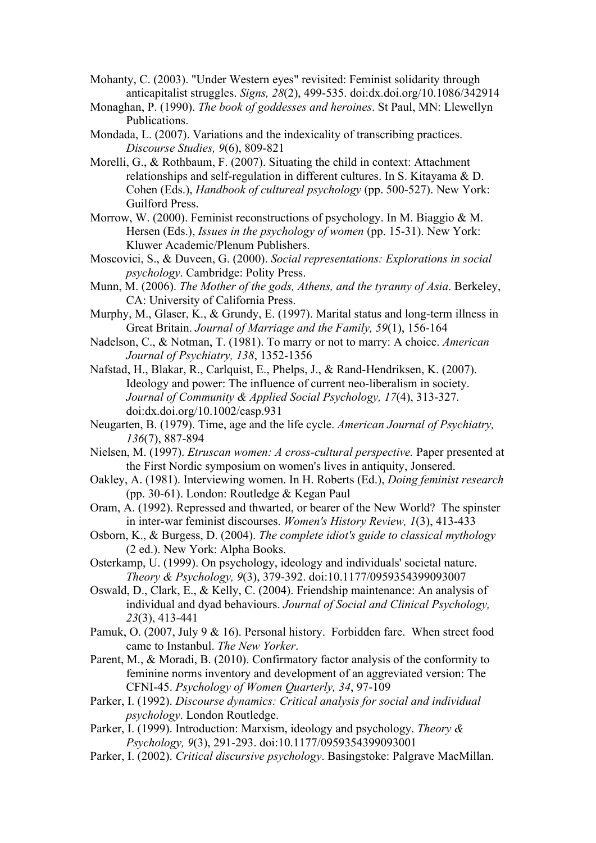- Mohanty, C. (2003). "Under Western eyes" revisited: Feminist solidarity through anticapitalist struggles. *Signs, 28*(2), 499-535. doi:dx.doi.org/10.1086/342914
- Monaghan, P. (1990). *The book of goddesses and heroines*. St Paul, MN: Llewellyn Publications.
- Mondada, L. (2007). Variations and the indexicality of transcribing practices. *Discourse Studies, 9*(6), 809-821
- Morelli, G., & Rothbaum, F. (2007). Situating the child in context: Attachment relationships and self-regulation in different cultures. In S. Kitayama & D. Cohen (Eds.), *Handbook of cultureal psychology* (pp. 500-527). New York: Guilford Press.
- Morrow, W. (2000). Feminist reconstructions of psychology. In M. Biaggio & M. Hersen (Eds.), *Issues in the psychology of women* (pp. 15-31). New York: Kluwer Academic/Plenum Publishers.
- Moscovici, S., & Duveen, G. (2000). *Social representations: Explorations in social psychology*. Cambridge: Polity Press.
- Munn, M. (2006). *The Mother of the gods, Athens, and the tyranny of Asia*. Berkeley, CA: University of California Press.
- Murphy, M., Glaser, K., & Grundy, E. (1997). Marital status and long-term illness in Great Britain. *Journal of Marriage and the Family, 59*(1), 156-164
- Nadelson, C., & Notman, T. (1981). To marry or not to marry: A choice. *American Journal of Psychiatry, 138*, 1352-1356
- Nafstad, H., Blakar, R., Carlquist, E., Phelps, J., & Rand-Hendriksen, K. (2007). Ideology and power: The influence of current neo-liberalism in society. *Journal of Community & Applied Social Psychology, 17*(4), 313-327. doi:dx.doi.org/10.1002/casp.931
- Neugarten, B. (1979). Time, age and the life cycle. *American Journal of Psychiatry, 136*(7), 887-894
- Nielsen, M. (1997). *Etruscan women: A cross-cultural perspective.* Paper presented at the First Nordic symposium on women's lives in antiquity, Jonsered.
- Oakley, A. (1981). Interviewing women. In H. Roberts (Ed.), *Doing feminist research* (pp. 30-61). London: Routledge & Kegan Paul
- Oram, A. (1992). Repressed and thwarted, or bearer of the New World? The spinster in inter-war feminist discourses. *Women's History Review, 1*(3), 413-433
- Osborn, K., & Burgess, D. (2004). *The complete idiot's guide to classical mythology* (2 ed.). New York: Alpha Books.
- Osterkamp, U. (1999). On psychology, ideology and individuals' societal nature. *Theory & Psychology, 9*(3), 379-392. doi:10.1177/0959354399093007
- Oswald, D., Clark, E., & Kelly, C. (2004). Friendship maintenance: An analysis of individual and dyad behaviours. *Journal of Social and Clinical Psychology, 23*(3), 413-441
- Pamuk, O. (2007, July 9 & 16). Personal history. Forbidden fare. When street food came to Instanbul. *The New Yorker*.
- Parent, M., & Moradi, B. (2010). Confirmatory factor analysis of the conformity to feminine norms inventory and development of an aggreviated version: The CFNI-45. *Psychology of Women Quarterly, 34*, 97-109
- Parker, I. (1992). *Discourse dynamics: Critical analysis for social and individual psychology*. London Routledge.
- Parker, I. (1999). Introduction: Marxism, ideology and psychology. *Theory & Psychology, 9*(3), 291-293. doi:10.1177/0959354399093001
- Parker, I. (2002). *Critical discursive psychology*. Basingstoke: Palgrave MacMillan.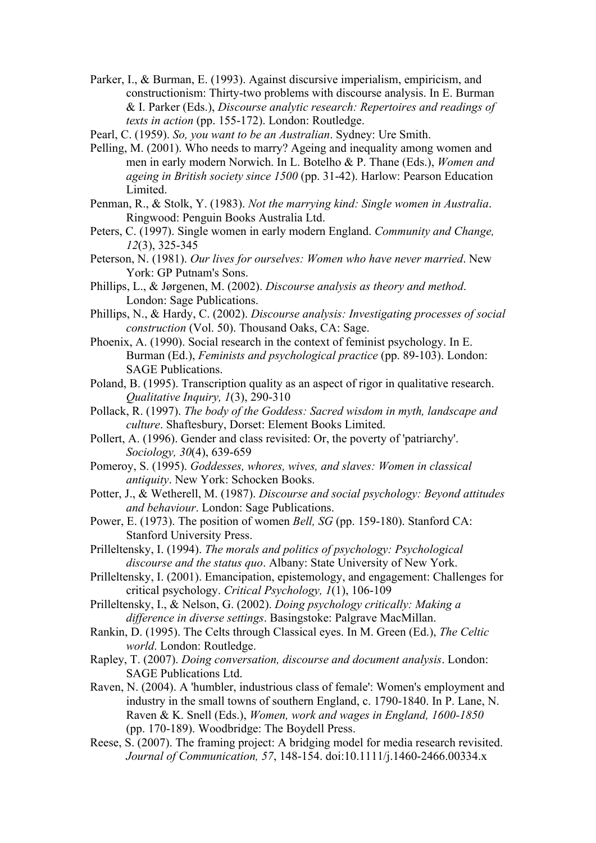- Parker, I., & Burman, E. (1993). Against discursive imperialism, empiricism, and constructionism: Thirty-two problems with discourse analysis. In E. Burman & I. Parker (Eds.), *Discourse analytic research: Repertoires and readings of texts in action* (pp. 155-172). London: Routledge.
- Pearl, C. (1959). *So, you want to be an Australian*. Sydney: Ure Smith.
- Pelling, M. (2001). Who needs to marry? Ageing and inequality among women and men in early modern Norwich. In L. Botelho & P. Thane (Eds.), *Women and ageing in British society since 1500* (pp. 31-42). Harlow: Pearson Education Limited.
- Penman, R., & Stolk, Y. (1983). *Not the marrying kind: Single women in Australia*. Ringwood: Penguin Books Australia Ltd.
- Peters, C. (1997). Single women in early modern England. *Community and Change, 12*(3), 325-345
- Peterson, N. (1981). *Our lives for ourselves: Women who have never married*. New York: GP Putnam's Sons.
- Phillips, L., & Jørgenen, M. (2002). *Discourse analysis as theory and method*. London: Sage Publications.
- Phillips, N., & Hardy, C. (2002). *Discourse analysis: Investigating processes of social construction* (Vol. 50). Thousand Oaks, CA: Sage.
- Phoenix, A. (1990). Social research in the context of feminist psychology. In E. Burman (Ed.), *Feminists and psychological practice* (pp. 89-103). London: SAGE Publications.
- Poland, B. (1995). Transcription quality as an aspect of rigor in qualitative research. *Qualitative Inquiry, 1*(3), 290-310
- Pollack, R. (1997). *The body of the Goddess: Sacred wisdom in myth, landscape and culture*. Shaftesbury, Dorset: Element Books Limited.
- Pollert, A. (1996). Gender and class revisited: Or, the poverty of 'patriarchy'. *Sociology, 30*(4), 639-659
- Pomeroy, S. (1995). *Goddesses, whores, wives, and slaves: Women in classical antiquity*. New York: Schocken Books.
- Potter, J., & Wetherell, M. (1987). *Discourse and social psychology: Beyond attitudes and behaviour*. London: Sage Publications.
- Power, E. (1973). The position of women *Bell, SG* (pp. 159-180). Stanford CA: Stanford University Press.
- Prilleltensky, I. (1994). *The morals and politics of psychology: Psychological discourse and the status quo*. Albany: State University of New York.
- Prilleltensky, I. (2001). Emancipation, epistemology, and engagement: Challenges for critical psychology. *Critical Psychology, 1*(1), 106-109
- Prilleltensky, I., & Nelson, G. (2002). *Doing psychology critically: Making a difference in diverse settings*. Basingstoke: Palgrave MacMillan.
- Rankin, D. (1995). The Celts through Classical eyes. In M. Green (Ed.), *The Celtic world*. London: Routledge.
- Rapley, T. (2007). *Doing conversation, discourse and document analysis*. London: SAGE Publications Ltd.
- Raven, N. (2004). A 'humbler, industrious class of female': Women's employment and industry in the small towns of southern England, c. 1790-1840. In P. Lane, N. Raven & K. Snell (Eds.), *Women, work and wages in England, 1600-1850* (pp. 170-189). Woodbridge: The Boydell Press.
- Reese, S. (2007). The framing project: A bridging model for media research revisited. *Journal of Communication, 57*, 148-154. doi:10.1111/j.1460-2466.00334.x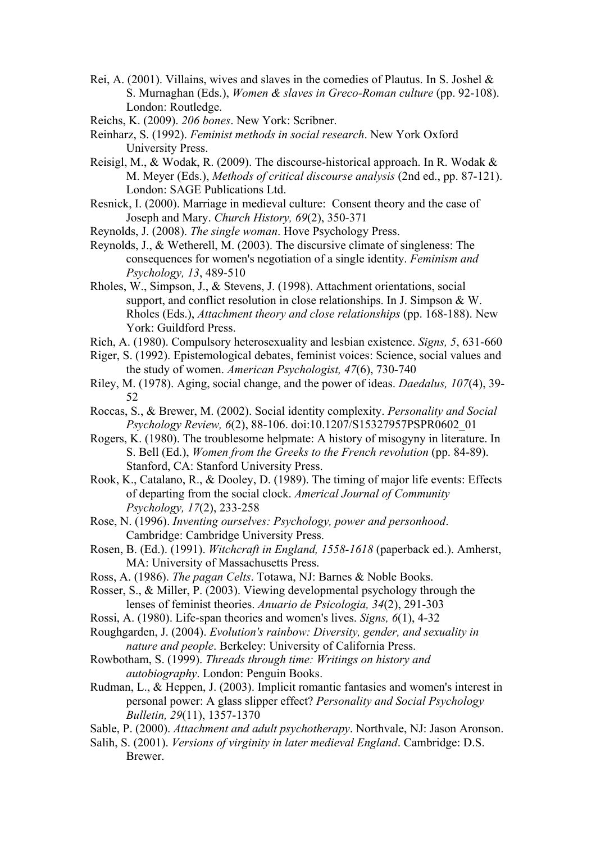- Rei, A. (2001). Villains, wives and slaves in the comedies of Plautus. In S. Joshel & S. Murnaghan (Eds.), *Women & slaves in Greco-Roman culture* (pp. 92-108). London: Routledge.
- Reichs, K. (2009). *206 bones*. New York: Scribner.
- Reinharz, S. (1992). *Feminist methods in social research*. New York Oxford University Press.
- Reisigl, M., & Wodak, R. (2009). The discourse-historical approach. In R. Wodak & M. Meyer (Eds.), *Methods of critical discourse analysis* (2nd ed., pp. 87-121). London: SAGE Publications Ltd.
- Resnick, I. (2000). Marriage in medieval culture: Consent theory and the case of Joseph and Mary. *Church History, 69*(2), 350-371
- Reynolds, J. (2008). *The single woman*. Hove Psychology Press.
- Reynolds, J., & Wetherell, M. (2003). The discursive climate of singleness: The consequences for women's negotiation of a single identity. *Feminism and Psychology, 13*, 489-510
- Rholes, W., Simpson, J., & Stevens, J. (1998). Attachment orientations, social support, and conflict resolution in close relationships. In J. Simpson & W. Rholes (Eds.), *Attachment theory and close relationships* (pp. 168-188). New York: Guildford Press.
- Rich, A. (1980). Compulsory heterosexuality and lesbian existence. *Signs, 5*, 631-660
- Riger, S. (1992). Epistemological debates, feminist voices: Science, social values and the study of women. *American Psychologist, 47*(6), 730-740
- Riley, M. (1978). Aging, social change, and the power of ideas. *Daedalus, 107*(4), 39- 52
- Roccas, S., & Brewer, M. (2002). Social identity complexity. *Personality and Social Psychology Review, 6*(2), 88-106. doi:10.1207/S15327957PSPR0602\_01
- Rogers, K. (1980). The troublesome helpmate: A history of misogyny in literature. In S. Bell (Ed.), *Women from the Greeks to the French revolution* (pp. 84-89). Stanford, CA: Stanford University Press.
- Rook, K., Catalano, R., & Dooley, D. (1989). The timing of major life events: Effects of departing from the social clock. *Americal Journal of Community Psychology, 17*(2), 233-258
- Rose, N. (1996). *Inventing ourselves: Psychology, power and personhood*. Cambridge: Cambridge University Press.
- Rosen, B. (Ed.). (1991). *Witchcraft in England, 1558-1618* (paperback ed.). Amherst, MA: University of Massachusetts Press.
- Ross, A. (1986). *The pagan Celts*. Totawa, NJ: Barnes & Noble Books.
- Rosser, S., & Miller, P. (2003). Viewing developmental psychology through the lenses of feminist theories. *Anuario de Psicologia, 34*(2), 291-303
- Rossi, A. (1980). Life-span theories and women's lives. *Signs, 6*(1), 4-32
- Roughgarden, J. (2004). *Evolution's rainbow: Diversity, gender, and sexuality in nature and people*. Berkeley: University of California Press.
- Rowbotham, S. (1999). *Threads through time: Writings on history and autobiography*. London: Penguin Books.
- Rudman, L., & Heppen, J. (2003). Implicit romantic fantasies and women's interest in personal power: A glass slipper effect? *Personality and Social Psychology Bulletin, 29*(11), 1357-1370
- Sable, P. (2000). *Attachment and adult psychotherapy*. Northvale, NJ: Jason Aronson.
- Salih, S. (2001). *Versions of virginity in later medieval England*. Cambridge: D.S. Brewer.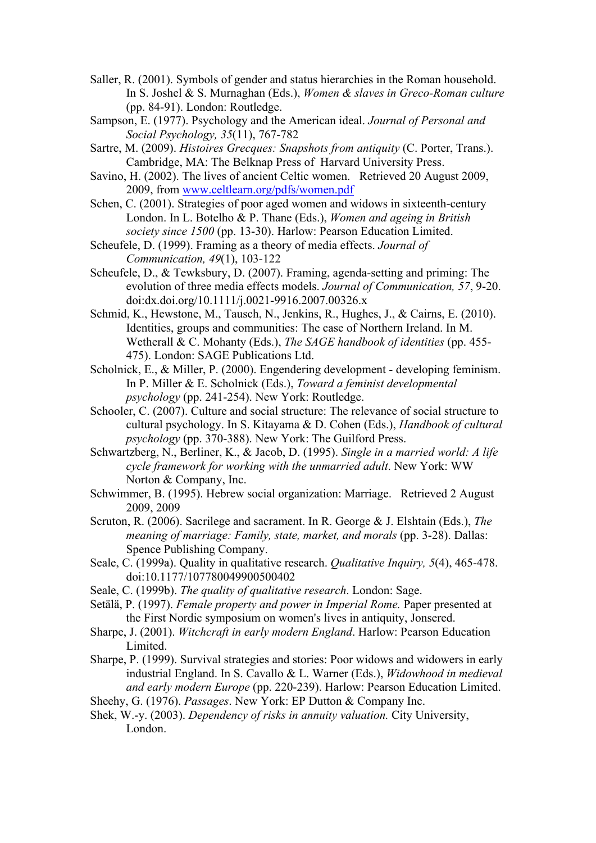- Saller, R. (2001). Symbols of gender and status hierarchies in the Roman household. In S. Joshel & S. Murnaghan (Eds.), *Women & slaves in Greco-Roman culture* (pp. 84-91). London: Routledge.
- Sampson, E. (1977). Psychology and the American ideal. *Journal of Personal and Social Psychology, 35*(11), 767-782
- Sartre, M. (2009). *Histoires Grecques: Snapshots from antiquity* (C. Porter, Trans.). Cambridge, MA: The Belknap Press of Harvard University Press.
- Savino, H. (2002). The lives of ancient Celtic women. Retrieved 20 August 2009, 2009, from www.celtlearn.org/pdfs/women.pdf
- Schen, C. (2001). Strategies of poor aged women and widows in sixteenth-century London. In L. Botelho & P. Thane (Eds.), *Women and ageing in British society since 1500* (pp. 13-30). Harlow: Pearson Education Limited.
- Scheufele, D. (1999). Framing as a theory of media effects. *Journal of Communication, 49*(1), 103-122
- Scheufele, D., & Tewksbury, D. (2007). Framing, agenda-setting and priming: The evolution of three media effects models. *Journal of Communication, 57*, 9-20. doi:dx.doi.org/10.1111/j.0021-9916.2007.00326.x
- Schmid, K., Hewstone, M., Tausch, N., Jenkins, R., Hughes, J., & Cairns, E. (2010). Identities, groups and communities: The case of Northern Ireland. In M. Wetherall & C. Mohanty (Eds.), *The SAGE handbook of identities* (pp. 455- 475). London: SAGE Publications Ltd.
- Scholnick, E., & Miller, P. (2000). Engendering development developing feminism. In P. Miller & E. Scholnick (Eds.), *Toward a feminist developmental psychology* (pp. 241-254). New York: Routledge.
- Schooler, C. (2007). Culture and social structure: The relevance of social structure to cultural psychology. In S. Kitayama & D. Cohen (Eds.), *Handbook of cultural psychology* (pp. 370-388). New York: The Guilford Press.
- Schwartzberg, N., Berliner, K., & Jacob, D. (1995). *Single in a married world: A life cycle framework for working with the unmarried adult*. New York: WW Norton & Company, Inc.
- Schwimmer, B. (1995). Hebrew social organization: Marriage. Retrieved 2 August 2009, 2009
- Scruton, R. (2006). Sacrilege and sacrament. In R. George & J. Elshtain (Eds.), *The meaning of marriage: Family, state, market, and morals* (pp. 3-28). Dallas: Spence Publishing Company.
- Seale, C. (1999a). Quality in qualitative research. *Qualitative Inquiry, 5*(4), 465-478. doi:10.1177/107780049900500402
- Seale, C. (1999b). *The quality of qualitative research*. London: Sage.
- Setälä, P. (1997). *Female property and power in Imperial Rome.* Paper presented at the First Nordic symposium on women's lives in antiquity, Jonsered.
- Sharpe, J. (2001). *Witchcraft in early modern England*. Harlow: Pearson Education Limited.
- Sharpe, P. (1999). Survival strategies and stories: Poor widows and widowers in early industrial England. In S. Cavallo & L. Warner (Eds.), *Widowhood in medieval and early modern Europe* (pp. 220-239). Harlow: Pearson Education Limited.
- Sheehy, G. (1976). *Passages*. New York: EP Dutton & Company Inc.
- Shek, W.-y. (2003). *Dependency of risks in annuity valuation.* City University, London.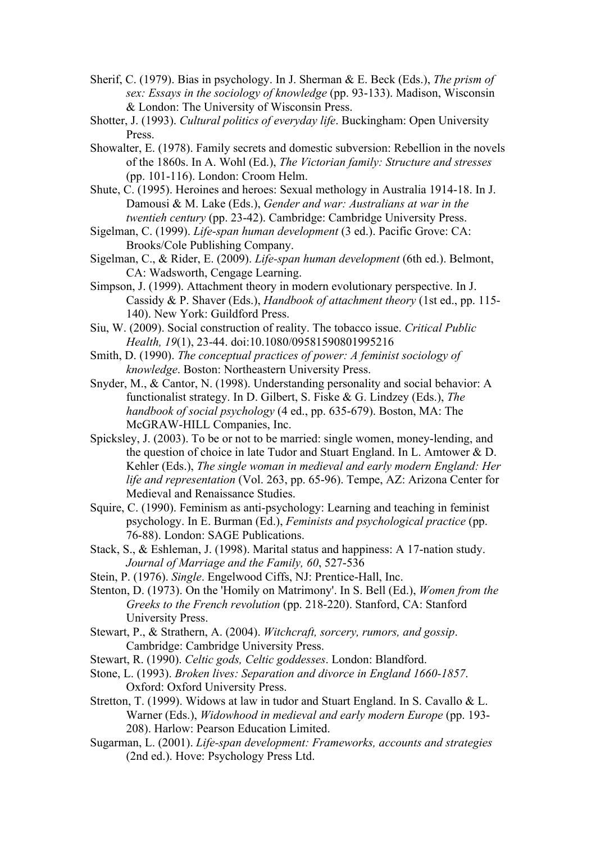- Sherif, C. (1979). Bias in psychology. In J. Sherman & E. Beck (Eds.), *The prism of sex: Essays in the sociology of knowledge* (pp. 93-133). Madison, Wisconsin & London: The University of Wisconsin Press.
- Shotter, J. (1993). *Cultural politics of everyday life*. Buckingham: Open University Press.
- Showalter, E. (1978). Family secrets and domestic subversion: Rebellion in the novels of the 1860s. In A. Wohl (Ed.), *The Victorian family: Structure and stresses* (pp. 101-116). London: Croom Helm.
- Shute, C. (1995). Heroines and heroes: Sexual methology in Australia 1914-18. In J. Damousi & M. Lake (Eds.), *Gender and war: Australians at war in the twentieh century* (pp. 23-42). Cambridge: Cambridge University Press.
- Sigelman, C. (1999). *Life-span human development* (3 ed.). Pacific Grove: CA: Brooks/Cole Publishing Company.
- Sigelman, C., & Rider, E. (2009). *Life-span human development* (6th ed.). Belmont, CA: Wadsworth, Cengage Learning.
- Simpson, J. (1999). Attachment theory in modern evolutionary perspective. In J. Cassidy & P. Shaver (Eds.), *Handbook of attachment theory* (1st ed., pp. 115- 140). New York: Guildford Press.
- Siu, W. (2009). Social construction of reality. The tobacco issue. *Critical Public Health, 19*(1), 23-44. doi:10.1080/09581590801995216
- Smith, D. (1990). *The conceptual practices of power: A feminist sociology of knowledge*. Boston: Northeastern University Press.
- Snyder, M., & Cantor, N. (1998). Understanding personality and social behavior: A functionalist strategy. In D. Gilbert, S. Fiske & G. Lindzey (Eds.), *The handbook of social psychology* (4 ed., pp. 635-679). Boston, MA: The McGRAW-HILL Companies, Inc.
- Spicksley, J. (2003). To be or not to be married: single women, money-lending, and the question of choice in late Tudor and Stuart England. In L. Amtower & D. Kehler (Eds.), *The single woman in medieval and early modern England: Her life and representation* (Vol. 263, pp. 65-96). Tempe, AZ: Arizona Center for Medieval and Renaissance Studies.
- Squire, C. (1990). Feminism as anti-psychology: Learning and teaching in feminist psychology. In E. Burman (Ed.), *Feminists and psychological practice* (pp. 76-88). London: SAGE Publications.
- Stack, S., & Eshleman, J. (1998). Marital status and happiness: A 17-nation study. *Journal of Marriage and the Family, 60*, 527-536
- Stein, P. (1976). *Single*. Engelwood Ciffs, NJ: Prentice-Hall, Inc.
- Stenton, D. (1973). On the 'Homily on Matrimony'. In S. Bell (Ed.), *Women from the Greeks to the French revolution* (pp. 218-220). Stanford, CA: Stanford University Press.
- Stewart, P., & Strathern, A. (2004). *Witchcraft, sorcery, rumors, and gossip*. Cambridge: Cambridge University Press.
- Stewart, R. (1990). *Celtic gods, Celtic goddesses*. London: Blandford.
- Stone, L. (1993). *Broken lives: Separation and divorce in England 1660-1857*. Oxford: Oxford University Press.
- Stretton, T. (1999). Widows at law in tudor and Stuart England. In S. Cavallo & L. Warner (Eds.), *Widowhood in medieval and early modern Europe* (pp. 193- 208). Harlow: Pearson Education Limited.
- Sugarman, L. (2001). *Life-span development: Frameworks, accounts and strategies* (2nd ed.). Hove: Psychology Press Ltd.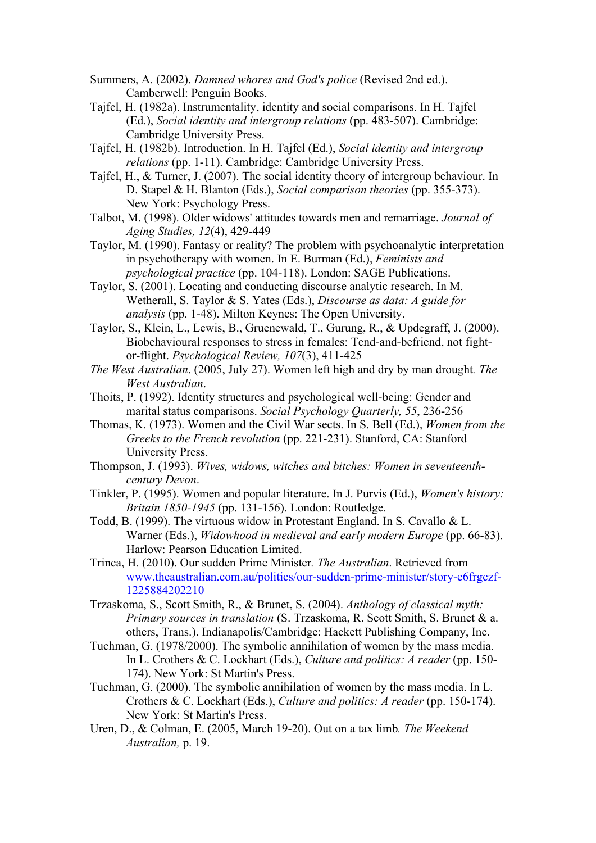- Summers, A. (2002). *Damned whores and God's police* (Revised 2nd ed.). Camberwell: Penguin Books.
- Tajfel, H. (1982a). Instrumentality, identity and social comparisons. In H. Tajfel (Ed.), *Social identity and intergroup relations* (pp. 483-507). Cambridge: Cambridge University Press.
- Tajfel, H. (1982b). Introduction. In H. Tajfel (Ed.), *Social identity and intergroup relations* (pp. 1-11). Cambridge: Cambridge University Press.
- Tajfel, H., & Turner, J. (2007). The social identity theory of intergroup behaviour. In D. Stapel & H. Blanton (Eds.), *Social comparison theories* (pp. 355-373). New York: Psychology Press.
- Talbot, M. (1998). Older widows' attitudes towards men and remarriage. *Journal of Aging Studies, 12*(4), 429-449
- Taylor, M. (1990). Fantasy or reality? The problem with psychoanalytic interpretation in psychotherapy with women. In E. Burman (Ed.), *Feminists and psychological practice* (pp. 104-118). London: SAGE Publications.
- Taylor, S. (2001). Locating and conducting discourse analytic research. In M. Wetherall, S. Taylor & S. Yates (Eds.), *Discourse as data: A guide for analysis* (pp. 1-48). Milton Keynes: The Open University.
- Taylor, S., Klein, L., Lewis, B., Gruenewald, T., Gurung, R., & Updegraff, J. (2000). Biobehavioural responses to stress in females: Tend-and-befriend, not fightor-flight. *Psychological Review, 107*(3), 411-425
- *The West Australian*. (2005, July 27). Women left high and dry by man drought*. The West Australian*.
- Thoits, P. (1992). Identity structures and psychological well-being: Gender and marital status comparisons. *Social Psychology Quarterly, 55*, 236-256
- Thomas, K. (1973). Women and the Civil War sects. In S. Bell (Ed.), *Women from the Greeks to the French revolution* (pp. 221-231). Stanford, CA: Stanford University Press.
- Thompson, J. (1993). *Wives, widows, witches and bitches: Women in seventeenthcentury Devon*.
- Tinkler, P. (1995). Women and popular literature. In J. Purvis (Ed.), *Women's history: Britain 1850-1945* (pp. 131-156). London: Routledge.
- Todd, B. (1999). The virtuous widow in Protestant England. In S. Cavallo & L. Warner (Eds.), *Widowhood in medieval and early modern Europe* (pp. 66-83). Harlow: Pearson Education Limited.
- Trinca, H. (2010). Our sudden Prime Minister*. The Australian*. Retrieved from www.theaustralian.com.au/politics/our-sudden-prime-minister/story-e6frgczf-1225884202210
- Trzaskoma, S., Scott Smith, R., & Brunet, S. (2004). *Anthology of classical myth: Primary sources in translation* (S. Trzaskoma, R. Scott Smith, S. Brunet & a. others, Trans.). Indianapolis/Cambridge: Hackett Publishing Company, Inc.
- Tuchman, G. (1978/2000). The symbolic annihilation of women by the mass media. In L. Crothers & C. Lockhart (Eds.), *Culture and politics: A reader* (pp. 150- 174). New York: St Martin's Press.
- Tuchman, G. (2000). The symbolic annihilation of women by the mass media. In L. Crothers & C. Lockhart (Eds.), *Culture and politics: A reader* (pp. 150-174). New York: St Martin's Press.
- Uren, D., & Colman, E. (2005, March 19-20). Out on a tax limb*. The Weekend Australian,* p. 19.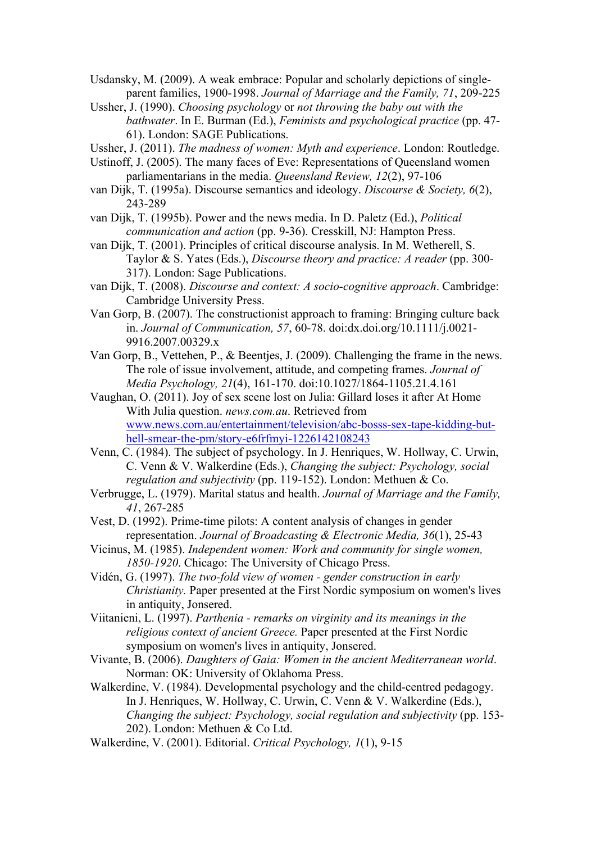Usdansky, M. (2009). A weak embrace: Popular and scholarly depictions of singleparent families, 1900-1998. *Journal of Marriage and the Family, 71*, 209-225

Ussher, J. (1990). *Choosing psychology* or *not throwing the baby out with the bathwater*. In E. Burman (Ed.), *Feminists and psychological practice* (pp. 47- 61). London: SAGE Publications.

Ussher, J. (2011). *The madness of women: Myth and experience*. London: Routledge.

Ustinoff, J. (2005). The many faces of Eve: Representations of Queensland women parliamentarians in the media. *Queensland Review, 12*(2), 97-106

van Dijk, T. (1995a). Discourse semantics and ideology. *Discourse & Society, 6*(2), 243-289

van Dijk, T. (1995b). Power and the news media. In D. Paletz (Ed.), *Political communication and action* (pp. 9-36). Cresskill, NJ: Hampton Press.

van Dijk, T. (2001). Principles of critical discourse analysis. In M. Wetherell, S. Taylor & S. Yates (Eds.), *Discourse theory and practice: A reader* (pp. 300- 317). London: Sage Publications.

van Dijk, T. (2008). *Discourse and context: A socio-cognitive approach*. Cambridge: Cambridge University Press.

Van Gorp, B. (2007). The constructionist approach to framing: Bringing culture back in. *Journal of Communication, 57*, 60-78. doi:dx.doi.org/10.1111/j.0021- 9916.2007.00329.x

Van Gorp, B., Vettehen, P., & Beentjes, J. (2009). Challenging the frame in the news. The role of issue involvement, attitude, and competing frames. *Journal of Media Psychology, 21*(4), 161-170. doi:10.1027/1864-1105.21.4.161

Vaughan, O. (2011). Joy of sex scene lost on Julia: Gillard loses it after At Home With Julia question. *news.com.au*. Retrieved from www.news.com.au/entertainment/television/abc-bosss-sex-tape-kidding-buthell-smear-the-pm/story-e6frfmyi-1226142108243

Venn, C. (1984). The subject of psychology. In J. Henriques, W. Hollway, C. Urwin, C. Venn & V. Walkerdine (Eds.), *Changing the subject: Psychology, social regulation and subjectivity* (pp. 119-152). London: Methuen & Co.

Verbrugge, L. (1979). Marital status and health. *Journal of Marriage and the Family, 41*, 267-285

Vest, D. (1992). Prime-time pilots: A content analysis of changes in gender representation. *Journal of Broadcasting & Electronic Media, 36*(1), 25-43

Vicinus, M. (1985). *Independent women: Work and community for single women, 1850-1920*. Chicago: The University of Chicago Press.

Vidén, G. (1997). *The two-fold view of women - gender construction in early Christianity.* Paper presented at the First Nordic symposium on women's lives in antiquity, Jonsered.

Viitanieni, L. (1997). *Parthenia - remarks on virginity and its meanings in the religious context of ancient Greece.* Paper presented at the First Nordic symposium on women's lives in antiquity, Jonsered.

Vivante, B. (2006). *Daughters of Gaia: Women in the ancient Mediterranean world*. Norman: OK: University of Oklahoma Press.

Walkerdine, V. (1984). Developmental psychology and the child-centred pedagogy. In J. Henriques, W. Hollway, C. Urwin, C. Venn & V. Walkerdine (Eds.), *Changing the subject: Psychology, social regulation and subjectivity* (pp. 153- 202). London: Methuen & Co Ltd.

Walkerdine, V. (2001). Editorial. *Critical Psychology, 1*(1), 9-15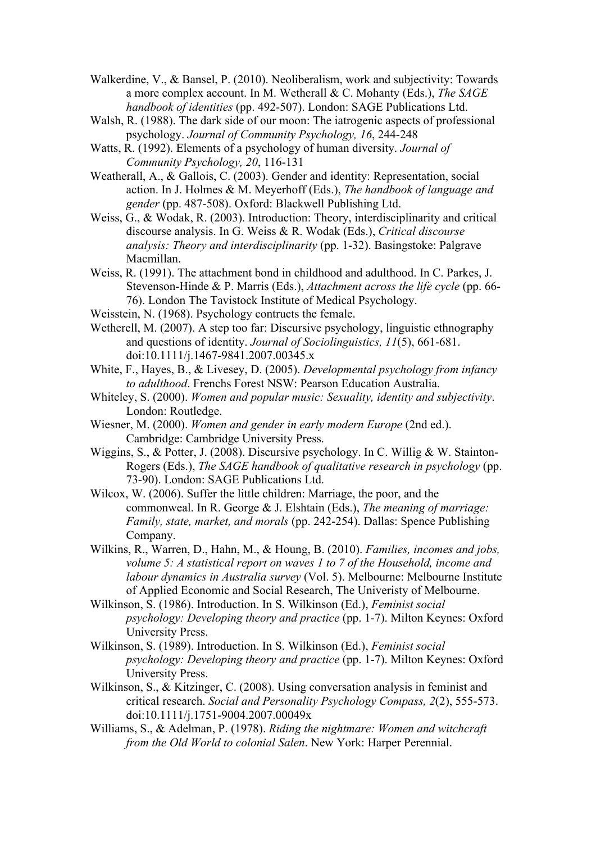- Walkerdine, V., & Bansel, P. (2010). Neoliberalism, work and subjectivity: Towards a more complex account. In M. Wetherall & C. Mohanty (Eds.), *The SAGE handbook of identities* (pp. 492-507). London: SAGE Publications Ltd.
- Walsh, R. (1988). The dark side of our moon: The iatrogenic aspects of professional psychology. *Journal of Community Psychology, 16*, 244-248
- Watts, R. (1992). Elements of a psychology of human diversity. *Journal of Community Psychology, 20*, 116-131
- Weatherall, A., & Gallois, C. (2003). Gender and identity: Representation, social action. In J. Holmes & M. Meyerhoff (Eds.), *The handbook of language and gender* (pp. 487-508). Oxford: Blackwell Publishing Ltd.
- Weiss, G., & Wodak, R. (2003). Introduction: Theory, interdisciplinarity and critical discourse analysis. In G. Weiss & R. Wodak (Eds.), *Critical discourse analysis: Theory and interdisciplinarity* (pp. 1-32). Basingstoke: Palgrave Macmillan.
- Weiss, R. (1991). The attachment bond in childhood and adulthood. In C. Parkes, J. Stevenson-Hinde & P. Marris (Eds.), *Attachment across the life cycle* (pp. 66- 76). London The Tavistock Institute of Medical Psychology.
- Weisstein, N. (1968). Psychology contructs the female.
- Wetherell, M. (2007). A step too far: Discursive psychology, linguistic ethnography and questions of identity. *Journal of Sociolinguistics, 11*(5), 661-681. doi:10.1111/j.1467-9841.2007.00345.x
- White, F., Hayes, B., & Livesey, D. (2005). *Developmental psychology from infancy to adulthood*. Frenchs Forest NSW: Pearson Education Australia.
- Whiteley, S. (2000). *Women and popular music: Sexuality, identity and subjectivity*. London: Routledge.
- Wiesner, M. (2000). *Women and gender in early modern Europe* (2nd ed.). Cambridge: Cambridge University Press.
- Wiggins, S., & Potter, J. (2008). Discursive psychology. In C. Willig & W. Stainton-Rogers (Eds.), *The SAGE handbook of qualitative research in psychology* (pp. 73-90). London: SAGE Publications Ltd.
- Wilcox, W. (2006). Suffer the little children: Marriage, the poor, and the commonweal. In R. George & J. Elshtain (Eds.), *The meaning of marriage: Family, state, market, and morals* (pp. 242-254). Dallas: Spence Publishing Company.
- Wilkins, R., Warren, D., Hahn, M., & Houng, B. (2010). *Families, incomes and jobs, volume 5: A statistical report on waves 1 to 7 of the Household, income and labour dynamics in Australia survey* (Vol. 5). Melbourne: Melbourne Institute of Applied Economic and Social Research, The Univeristy of Melbourne.
- Wilkinson, S. (1986). Introduction. In S. Wilkinson (Ed.), *Feminist social psychology: Developing theory and practice* (pp. 1-7). Milton Keynes: Oxford University Press.
- Wilkinson, S. (1989). Introduction. In S. Wilkinson (Ed.), *Feminist social psychology: Developing theory and practice* (pp. 1-7). Milton Keynes: Oxford University Press.
- Wilkinson, S., & Kitzinger, C. (2008). Using conversation analysis in feminist and critical research. *Social and Personality Psychology Compass, 2*(2), 555-573. doi:10.1111/j.1751-9004.2007.00049x
- Williams, S., & Adelman, P. (1978). *Riding the nightmare: Women and witchcraft from the Old World to colonial Salen*. New York: Harper Perennial.